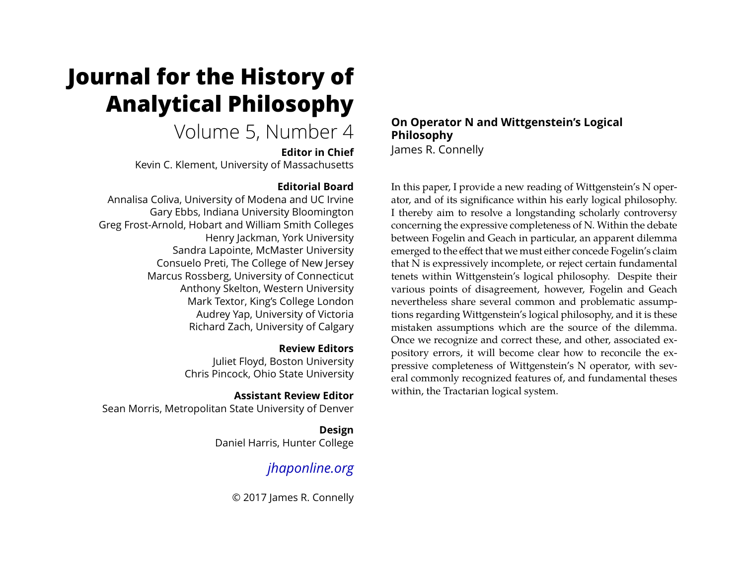# **Journal for the History of Analytical Philosophy**

# Volume 5, Number 4

**Editor in Chief**

Kevin C. Klement, University of Massachusetts

# **Editorial Board**

Annalisa Coliva, University of Modena and UC Irvine Gary Ebbs, Indiana University Bloomington Greg Frost-Arnold, Hobart and William Smith Colleges Henry Jackman, York University Sandra Lapointe, McMaster University Consuelo Preti, The College of New Jersey Marcus Rossberg, University of Connecticut Anthony Skelton, Western University Mark Textor, King's College London Audrey Yap, University of Victoria Richard Zach, University of Calgary

# **Review Editors**

Juliet Floyd, Boston University Chris Pincock, Ohio State University

# **Assistant Review Editor**

Sean Morris, Metropolitan State University of Denver

**Design** Daniel Harris, Hunter College

# *[jhaponline.org](https://jhaponline.org)*

© 2017 James R. Connelly

### **On Operator N and Wittgenstein's Logical Philosophy** James R. Connelly

In this paper, I provide a new reading of Wittgenstein's N operator, and of its significance within his early logical philosophy. I thereby aim to resolve a longstanding scholarly controversy concerning the expressive completeness of N. Within the debate between Fogelin and Geach in particular, an apparent dilemma emerged to the effect that we must either concede Fogelin's claim that N is expressively incomplete, or reject certain fundamental tenets within Wittgenstein's logical philosophy. Despite their various points of disagreement, however, Fogelin and Geach nevertheless share several common and problematic assumptions regarding Wittgenstein's logical philosophy, and it is these mistaken assumptions which are the source of the dilemma. Once we recognize and correct these, and other, associated expository errors, it will become clear how to reconcile the expressive completeness of Wittgenstein's N operator, with several commonly recognized features of, and fundamental theses within, the Tractarian logical system.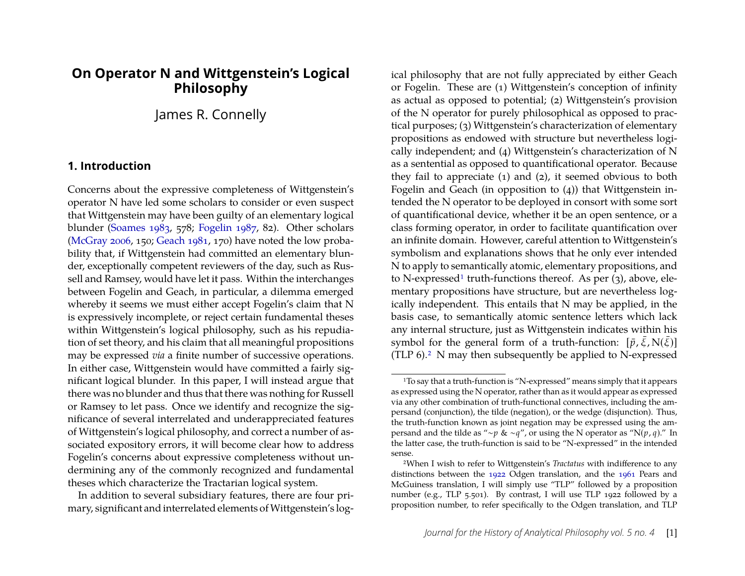# **On Operator N and Wittgenstein's Logical Philosophy**

# James R. Connelly

### **1. Introduction**

Concerns about the expressive completeness of Wittgenstein's operator N have led some scholars to consider or even suspect that Wittgenstein may have been guilty of an elementary logical blunder [\(Soames 1983,](#page-26-0) 578; [Fogelin 1987,](#page-25-0) 82). Other scholars [\(McGray 2006,](#page-25-1) 150; [Geach 1981,](#page-25-2) 170) have noted the low probability that, if Wittgenstein had committed an elementary blunder, exceptionally competent reviewers of the day, such as Russell and Ramsey, would have let it pass. Within the interchanges between Fogelin and Geach, in particular, a dilemma emerged whereby it seems we must either accept Fogelin's claim that N is expressively incomplete, or reject certain fundamental theses within Wittgenstein's logical philosophy, such as his repudiation of set theory, and his claim that all meaningful propositions may be expressed *via* a finite number of successive operations. In either case, Wittgenstein would have committed a fairly significant logical blunder. In this paper, I will instead argue that there was no blunder and thus that there was nothing for Russell or Ramsey to let pass. Once we identify and recognize the significance of several interrelated and underappreciated features of Wittgenstein's logical philosophy, and correct a number of associated expository errors, it will become clear how to address Fogelin's concerns about expressive completeness without undermining any of the commonly recognized and fundamental theses which characterize the Tractarian logical system.

In addition to several subsidiary features, there are four primary, significant and interrelated elements of Wittgenstein's log-

ical philosophy that are not fully appreciated by either Geach or Fogelin. These are (1) Wittgenstein's conception of infinity as actual as opposed to potential; (2) Wittgenstein's provision of the N operator for purely philosophical as opposed to practical purposes; (3) Wittgenstein's characterization of elementary propositions as endowed with structure but nevertheless logically independent; and (4) Wittgenstein's characterization of N as a sentential as opposed to quantificational operator. Because they fail to appreciate (1) and (2), it seemed obvious to both Fogelin and Geach (in opposition to (4)) that Wittgenstein intended the N operator to be deployed in consort with some sort of quantificational device, whether it be an open sentence, or a class forming operator, in order to facilitate quantification over an infinite domain. However, careful attention to Wittgenstein's symbolism and explanations shows that he only ever intended N to apply to semantically atomic, elementary propositions, and to N-expressed<sup>[1](#page-1-0)</sup> truth-functions thereof. As per  $(3)$ , above, elementary propositions have structure, but are nevertheless logically independent. This entails that N may be applied, in the basis case, to semantically atomic sentence letters which lack any internal structure, just as Wittgenstein indicates within his symbol for the general form of a truth-function:  $[\bar{p}, \bar{\xi}, N(\bar{\xi})]$ (TLP  $6$ ).<sup>[2](#page-1-1)</sup> N may then subsequently be applied to N-expressed

<span id="page-1-0"></span><sup>1</sup>To say that a truth-function is "N-expressed" means simply that it appears as expressed using the N operator, rather than as it would appear as expressed via any other combination of truth-functional connectives, including the ampersand (conjunction), the tilde (negation), or the wedge (disjunction). Thus, the truth-function known as joint negation may be expressed using the ampersand and the tilde as "∼*p* & ∼*q*", or using the N operator as "N(*p*, *q*)." In the latter case, the truth-function is said to be "N-expressed" in the intended sense.

<span id="page-1-1"></span><sup>2</sup>When I wish to refer to Wittgenstein's *Tractatus* with indifference to any distinctions between the [1922](#page-26-1) Odgen translation, and the [1961](#page-26-2) Pears and McGuiness translation, I will simply use "TLP" followed by a proposition number (e.g., TLP 5.501). By contrast, I will use TLP 1922 followed by a proposition number, to refer specifically to the Odgen translation, and TLP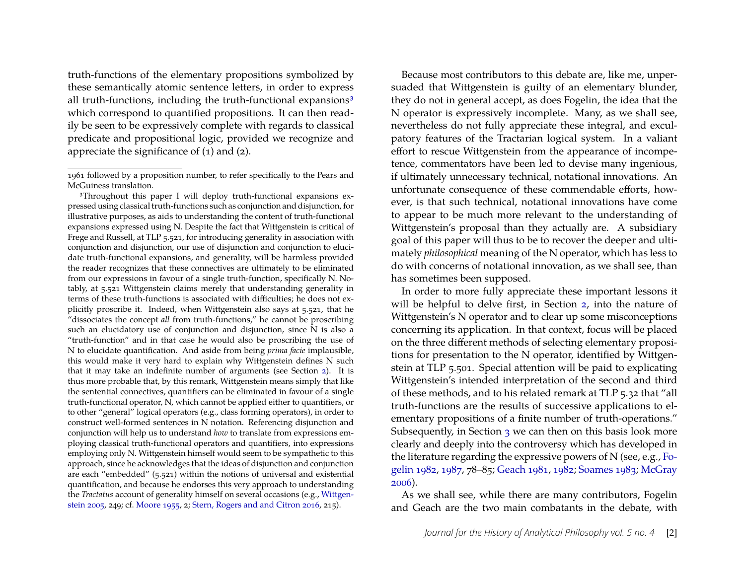truth-functions of the elementary propositions symbolized by these semantically atomic sentence letters, in order to express all truth-functions, including the truth-functional expansions $3$ which correspond to quantified propositions. It can then readily be seen to be expressively complete with regards to classical predicate and propositional logic, provided we recognize and appreciate the significance of (1) and (2).

<span id="page-2-0"></span>3Throughout this paper I will deploy truth-functional expansions expressed using classical truth-functions such as conjunction and disjunction, for illustrative purposes, as aids to understanding the content of truth-functional expansions expressed using N. Despite the fact that Wittgenstein is critical of Frege and Russell, at TLP 5.521, for introducing generality in association with conjunction and disjunction, our use of disjunction and conjunction to elucidate truth-functional expansions, and generality, will be harmless provided the reader recognizes that these connectives are ultimately to be eliminated from our expressions in favour of a single truth-function, specifically N. Notably, at 5.521 Wittgenstein claims merely that understanding generality in terms of these truth-functions is associated with difficulties; he does not explicitly proscribe it. Indeed, when Wittgenstein also says at 5.521, that he "dissociates the concept *all* from truth-functions," he cannot be proscribing such an elucidatory use of conjunction and disjunction, since N is also a "truth-function" and in that case he would also be proscribing the use of N to elucidate quantification. And aside from being *prima facie* implausible, this would make it very hard to explain why Wittgenstein defines N such that it may take an indefinite number of arguments (see Section [2\)](#page-3-0). It is thus more probable that, by this remark, Wittgenstein means simply that like the sentential connectives, quantifiers can be eliminated in favour of a single truth-functional operator, N, which cannot be applied either to quantifiers, or to other "general" logical operators (e.g., class forming operators), in order to construct well-formed sentences in N notation. Referencing disjunction and conjunction will help us to understand *how* to translate from expressions employing classical truth-functional operators and quantifiers, into expressions employing only N. Wittgenstein himself would seem to be sympathetic to this approach, since he acknowledges that the ideas of disjunction and conjunction are each "embedded" (5.521) within the notions of universal and existential quantification, and because he endorses this very approach to understanding the *Tractatus* account of generality himself on several occasions (e.g., [Wittgen](#page-26-3)[stein 2005,](#page-26-3) 249; cf. [Moore 1955,](#page-26-4) 2; [Stern, Rogers and and Citron 2016,](#page-26-5) 215).

Because most contributors to this debate are, like me, unpersuaded that Wittgenstein is guilty of an elementary blunder, they do not in general accept, as does Fogelin, the idea that the N operator is expressively incomplete. Many, as we shall see, nevertheless do not fully appreciate these integral, and exculpatory features of the Tractarian logical system. In a valiant effort to rescue Wittgenstein from the appearance of incompetence, commentators have been led to devise many ingenious, if ultimately unnecessary technical, notational innovations. An unfortunate consequence of these commendable efforts, however, is that such technical, notational innovations have come to appear to be much more relevant to the understanding of Wittgenstein's proposal than they actually are. A subsidiary goal of this paper will thus to be to recover the deeper and ultimately *philosophical* meaning of the N operator, which has less to do with concerns of notational innovation, as we shall see, than has sometimes been supposed.

In order to more fully appreciate these important lessons it will be helpful to delve first, in Section [2,](#page-3-0) into the nature of Wittgenstein's N operator and to clear up some misconceptions concerning its application. In that context, focus will be placed on the three different methods of selecting elementary propositions for presentation to the N operator, identified by Wittgenstein at TLP 5.501. Special attention will be paid to explicating Wittgenstein's intended interpretation of the second and third of these methods, and to his related remark at TLP 5.32 that "all truth-functions are the results of successive applications to elementary propositions of a finite number of truth-operations." Subsequently, in Section [3](#page-11-0) we can then on this basis look more clearly and deeply into the controversy which has developed in the literature regarding the expressive powers of N (see, e.g., [Fo](#page-25-3)[gelin 1982,](#page-25-3) [1987,](#page-25-0) 78–85; [Geach 1981,](#page-25-2) [1982;](#page-25-4) [Soames 1983;](#page-26-0) [McGray](#page-25-1) [2006\)](#page-25-1).

As we shall see, while there are many contributors, Fogelin and Geach are the two main combatants in the debate, with

<sup>1961</sup> followed by a proposition number, to refer specifically to the Pears and McGuiness translation.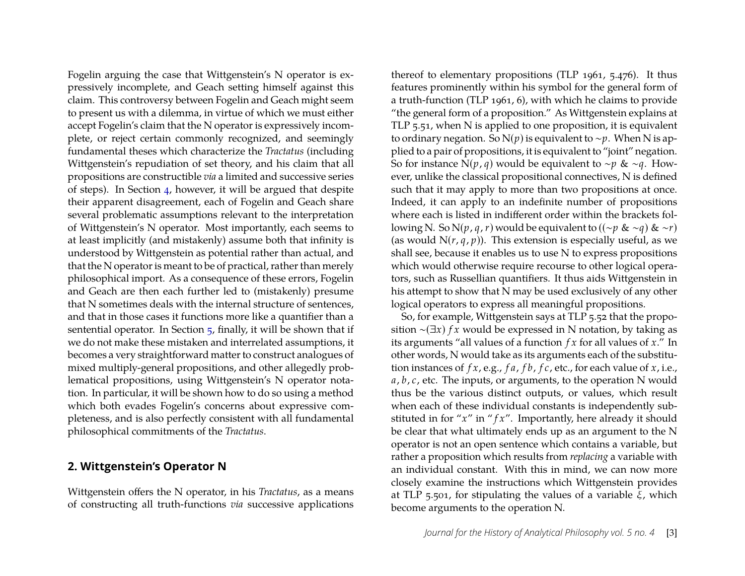Fogelin arguing the case that Wittgenstein's N operator is expressively incomplete, and Geach setting himself against this claim. This controversy between Fogelin and Geach might seem to present us with a dilemma, in virtue of which we must either accept Fogelin's claim that the N operator is expressively incomplete, or reject certain commonly recognized, and seemingly fundamental theses which characterize the *Tractatus* (including Wittgenstein's repudiation of set theory, and his claim that all propositions are constructible *via* a limited and successive series of steps). In Section [4,](#page-15-0) however, it will be argued that despite their apparent disagreement, each of Fogelin and Geach share several problematic assumptions relevant to the interpretation of Wittgenstein's N operator. Most importantly, each seems to at least implicitly (and mistakenly) assume both that infinity is understood by Wittgenstein as potential rather than actual, and that the N operator is meant to be of practical, rather than merely philosophical import. As a consequence of these errors, Fogelin and Geach are then each further led to (mistakenly) presume that N sometimes deals with the internal structure of sentences, and that in those cases it functions more like a quantifier than a sentential operator. In Section  $\frac{1}{2}$ , finally, it will be shown that if we do not make these mistaken and interrelated assumptions, it becomes a very straightforward matter to construct analogues of mixed multiply-general propositions, and other allegedly problematical propositions, using Wittgenstein's N operator notation. In particular, it will be shown how to do so using a method which both evades Fogelin's concerns about expressive completeness, and is also perfectly consistent with all fundamental philosophical commitments of the *Tractatus*.

#### <span id="page-3-0"></span>**2. Wittgenstein's Operator N**

Wittgenstein offers the N operator, in his *Tractatus*, as a means of constructing all truth-functions *via* successive applications thereof to elementary propositions (TLP 1961, 5.476). It thus features prominently within his symbol for the general form of a truth-function (TLP 1961, 6), with which he claims to provide "the general form of a proposition." As Wittgenstein explains at TLP 5.51, when N is applied to one proposition, it is equivalent to ordinary negation. So N(*p*) is equivalent to ∼*p*. When N is applied to a pair of propositions, it is equivalent to "joint" negation. So for instance N(*p*, *q*) would be equivalent to ∼*p* & ∼*q*. However, unlike the classical propositional connectives, N is defined such that it may apply to more than two propositions at once. Indeed, it can apply to an indefinite number of propositions where each is listed in indifferent order within the brackets following N. So N(*p*, *q*, *r*) would be equivalent to ((∼*p* & ∼*q*) & ∼*r*) (as would  $N(r, q, p)$ ). This extension is especially useful, as we shall see, because it enables us to use N to express propositions which would otherwise require recourse to other logical operators, such as Russellian quantifiers. It thus aids Wittgenstein in his attempt to show that N may be used exclusively of any other logical operators to express all meaningful propositions.

So, for example, Wittgenstein says at TLP 5.52 that the proposition ∼(∃*x*) *f x* would be expressed in N notation, by taking as its arguments "all values of a function *f x* for all values of *x*." In other words, N would take as its arguments each of the substitution instances of *f x*, e.g., *f a*, *f b*, *f c*, etc., for each value of *x*, i.e., *a*, *b*, *c*, etc. The inputs, or arguments, to the operation N would thus be the various distinct outputs, or values, which result when each of these individual constants is independently substituted in for " $x$ " in " $fx$ ". Importantly, here already it should be clear that what ultimately ends up as an argument to the N operator is not an open sentence which contains a variable, but rather a proposition which results from *replacing* a variable with an individual constant. With this in mind, we can now more closely examine the instructions which Wittgenstein provides at TLP 5.501, for stipulating the values of a variable ξ, which become arguments to the operation N.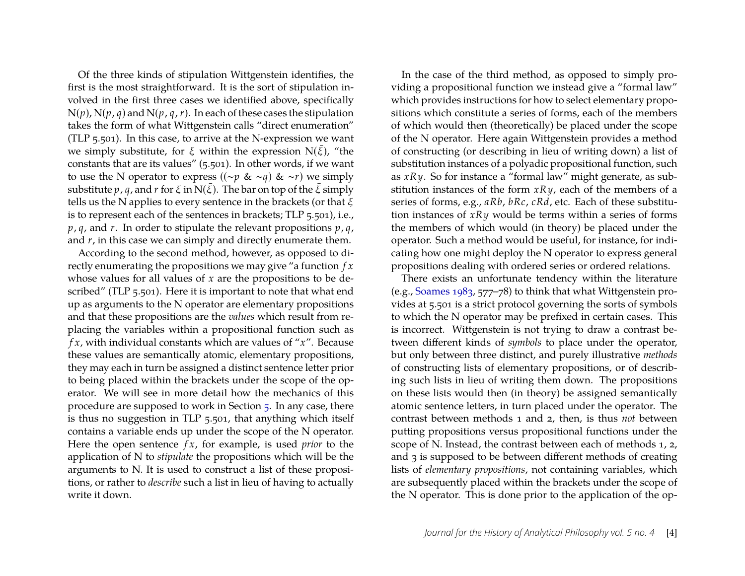Of the three kinds of stipulation Wittgenstein identifies, the first is the most straightforward. It is the sort of stipulation involved in the first three cases we identified above, specifically  $N(p)$ ,  $N(p, q)$  and  $N(p, q, r)$ . In each of these cases the stipulation takes the form of what Wittgenstein calls "direct enumeration" (TLP 5.501). In this case, to arrive at the N-expression we want we simply substitute, for  $\xi$  within the expression N( $\xi$ ), "the constants that are its values" (5.501). In other words, if we want to use the N operator to express ((∼*p* & ∼*q*) & ∼*r*) we simply substitute *p*, *q*, and *r* for  $\xi$  in N( $\xi$ ). The bar on top of the  $\xi$  simply tells us the N applies to every sentence in the brackets (or that  $\xi$ is to represent each of the sentences in brackets; TLP 5.501), i.e., *p*, *q*, and *r*. In order to stipulate the relevant propositions *p*, *q*, and *r*, in this case we can simply and directly enumerate them.

According to the second method, however, as opposed to directly enumerating the propositions we may give "a function *f x* whose values for all values of *x* are the propositions to be described" (TLP 5.501). Here it is important to note that what end up as arguments to the N operator are elementary propositions and that these propositions are the *values* which result from replacing the variables within a propositional function such as *f x*, with individual constants which are values of "*x*". Because these values are semantically atomic, elementary propositions, they may each in turn be assigned a distinct sentence letter prior to being placed within the brackets under the scope of the operator. We will see in more detail how the mechanics of this procedure are supposed to work in Section [5.](#page-19-0) In any case, there is thus no suggestion in TLP 5.501, that anything which itself contains a variable ends up under the scope of the N operator. Here the open sentence *f x*, for example, is used *prior* to the application of N to *stipulate* the propositions which will be the arguments to N. It is used to construct a list of these propositions, or rather to *describe* such a list in lieu of having to actually write it down.

In the case of the third method, as opposed to simply providing a propositional function we instead give a "formal law" which provides instructions for how to select elementary propositions which constitute a series of forms, each of the members of which would then (theoretically) be placed under the scope of the N operator. Here again Wittgenstein provides a method of constructing (or describing in lieu of writing down) a list of substitution instances of a polyadic propositional function, such as *xRy*. So for instance a "formal law" might generate, as substitution instances of the form *xRy*, each of the members of a series of forms, e.g., *aRb*, *bRc*, *cRd*, etc. Each of these substitution instances of *xRy* would be terms within a series of forms the members of which would (in theory) be placed under the operator. Such a method would be useful, for instance, for indicating how one might deploy the N operator to express general propositions dealing with ordered series or ordered relations.

There exists an unfortunate tendency within the literature (e.g., [Soames 1983,](#page-26-0) 577–78) to think that what Wittgenstein provides at 5.501 is a strict protocol governing the sorts of symbols to which the N operator may be prefixed in certain cases. This is incorrect. Wittgenstein is not trying to draw a contrast between different kinds of *symbols* to place under the operator, but only between three distinct, and purely illustrative *methods* of constructing lists of elementary propositions, or of describing such lists in lieu of writing them down. The propositions on these lists would then (in theory) be assigned semantically atomic sentence letters, in turn placed under the operator. The contrast between methods 1 and 2, then, is thus *not* between putting propositions versus propositional functions under the scope of N. Instead, the contrast between each of methods 1, 2, and 3 is supposed to be between different methods of creating lists of *elementary propositions*, not containing variables, which are subsequently placed within the brackets under the scope of the N operator. This is done prior to the application of the op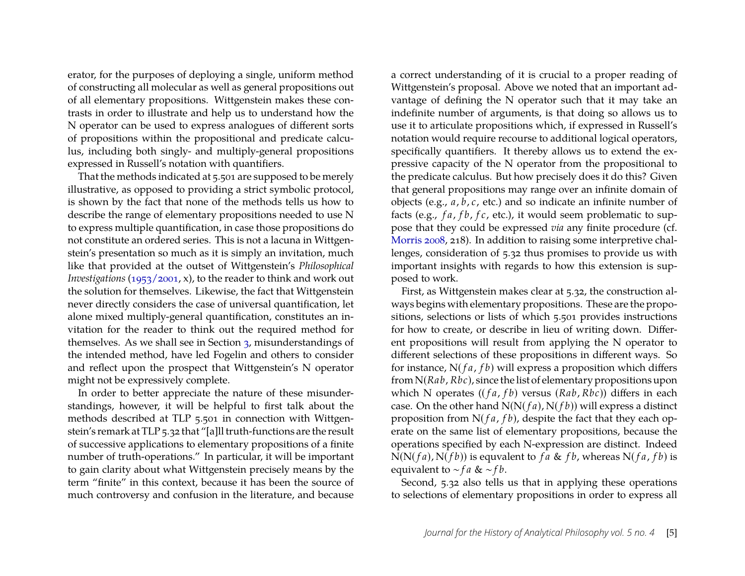erator, for the purposes of deploying a single, uniform method of constructing all molecular as well as general propositions out of all elementary propositions. Wittgenstein makes these contrasts in order to illustrate and help us to understand how the N operator can be used to express analogues of different sorts of propositions within the propositional and predicate calculus, including both singly- and multiply-general propositions expressed in Russell's notation with quantifiers.

That the methods indicated at 5.501 are supposed to be merely illustrative, as opposed to providing a strict symbolic protocol, is shown by the fact that none of the methods tells us how to describe the range of elementary propositions needed to use N to express multiple quantification, in case those propositions do not constitute an ordered series. This is not a lacuna in Wittgenstein's presentation so much as it is simply an invitation, much like that provided at the outset of Wittgenstein's *Philosophical Investigations* [\(1953/2001,](#page-26-6) x), to the reader to think and work out the solution for themselves. Likewise, the fact that Wittgenstein never directly considers the case of universal quantification, let alone mixed multiply-general quantification, constitutes an invitation for the reader to think out the required method for themselves. As we shall see in Section [3,](#page-11-0) misunderstandings of the intended method, have led Fogelin and others to consider and reflect upon the prospect that Wittgenstein's N operator might not be expressively complete.

In order to better appreciate the nature of these misunderstandings, however, it will be helpful to first talk about the methods described at TLP 5.501 in connection with Wittgenstein's remark at TLP 5.32 that "[a]ll truth-functions are the result of successive applications to elementary propositions of a finite number of truth-operations." In particular, it will be important to gain clarity about what Wittgenstein precisely means by the term "finite" in this context, because it has been the source of much controversy and confusion in the literature, and because a correct understanding of it is crucial to a proper reading of Wittgenstein's proposal. Above we noted that an important advantage of defining the N operator such that it may take an indefinite number of arguments, is that doing so allows us to use it to articulate propositions which, if expressed in Russell's notation would require recourse to additional logical operators, specifically quantifiers. It thereby allows us to extend the expressive capacity of the N operator from the propositional to the predicate calculus. But how precisely does it do this? Given that general propositions may range over an infinite domain of objects (e.g., *a*, *b*, *c*, etc.) and so indicate an infinite number of facts (e.g., *f a*, *f b*, *f c*, etc.), it would seem problematic to suppose that they could be expressed *via* any finite procedure (cf. [Morris 2008,](#page-26-7) 218). In addition to raising some interpretive challenges, consideration of 5.32 thus promises to provide us with important insights with regards to how this extension is supposed to work.

First, as Wittgenstein makes clear at 5.32, the construction always begins with elementary propositions. These are the propositions, selections or lists of which 5.501 provides instructions for how to create, or describe in lieu of writing down. Different propositions will result from applying the N operator to different selections of these propositions in different ways. So for instance, N( *f a*, *f b*) will express a proposition which differs from N(*Rab*, *Rbc*), since the list of elementary propositions upon which N operates (( *f a*, *f b*) versus (*Rab*, *Rbc*)) differs in each case. On the other hand N(N( *f a*), N( *f b*)) will express a distinct proposition from  $N(fa, fb)$ , despite the fact that they each operate on the same list of elementary propositions, because the operations specified by each N-expression are distinct. Indeed  $N(N(fa), N(fb))$  is equvalent to *f a* & *f b*, whereas  $N(fa, fb)$  is equivalent to ∼ *f a* & ∼ *f b*.

Second, 5.32 also tells us that in applying these operations to selections of elementary propositions in order to express all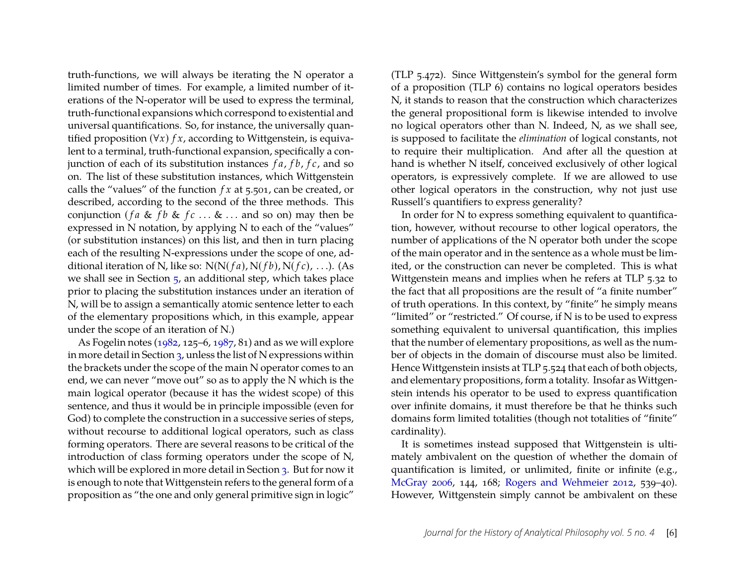truth-functions, we will always be iterating the N operator a limited number of times. For example, a limited number of iterations of the N-operator will be used to express the terminal, truth-functional expansions which correspond to existential and universal quantifications. So, for instance, the universally quantified proposition (∀*x*) *f x*, according to Wittgenstein, is equivalent to a terminal, truth-functional expansion, specifically a conjunction of each of its substitution instances *f a*, *f b*, *f c*, and so on. The list of these substitution instances, which Wittgenstein calls the "values" of the function *f x* at 5.501, can be created, or described, according to the second of the three methods. This conjunction (*fa* & *fb* & *fc* ... & ... and so on) may then be expressed in N notation, by applying N to each of the "values" (or substitution instances) on this list, and then in turn placing each of the resulting N-expressions under the scope of one, additional iteration of N, like so:  $N(N(fa), N(fb), N(fc), ...)$ . (As we shall see in Section [5,](#page-19-0) an additional step, which takes place prior to placing the substitution instances under an iteration of N, will be to assign a semantically atomic sentence letter to each of the elementary propositions which, in this example, appear under the scope of an iteration of N.)

As Fogelin notes [\(1982,](#page-25-3) 125–6, [1987,](#page-25-0) 81) and as we will explore in more detail in Section [3,](#page-11-0) unless the list of N expressions within the brackets under the scope of the main N operator comes to an end, we can never "move out" so as to apply the N which is the main logical operator (because it has the widest scope) of this sentence, and thus it would be in principle impossible (even for God) to complete the construction in a successive series of steps, without recourse to additional logical operators, such as class forming operators. There are several reasons to be critical of the introduction of class forming operators under the scope of N, which will be explored in more detail in Section [3.](#page-11-0) But for now it is enough to note that Wittgenstein refers to the general form of a proposition as "the one and only general primitive sign in logic"

(TLP 5.472). Since Wittgenstein's symbol for the general form of a proposition (TLP 6) contains no logical operators besides N, it stands to reason that the construction which characterizes the general propositional form is likewise intended to involve no logical operators other than N. Indeed, N, as we shall see, is supposed to facilitate the *elimination* of logical constants, not to require their multiplication. And after all the question at hand is whether N itself, conceived exclusively of other logical operators, is expressively complete. If we are allowed to use other logical operators in the construction, why not just use Russell's quantifiers to express generality?

In order for N to express something equivalent to quantification, however, without recourse to other logical operators, the number of applications of the N operator both under the scope of the main operator and in the sentence as a whole must be limited, or the construction can never be completed. This is what Wittgenstein means and implies when he refers at TLP 5.32 to the fact that all propositions are the result of "a finite number" of truth operations. In this context, by "finite" he simply means "limited" or "restricted." Of course, if N is to be used to express something equivalent to universal quantification, this implies that the number of elementary propositions, as well as the number of objects in the domain of discourse must also be limited. Hence Wittgenstein insists at TLP 5.524 that each of both objects, and elementary propositions, form a totality. Insofar as Wittgenstein intends his operator to be used to express quantification over infinite domains, it must therefore be that he thinks such domains form limited totalities (though not totalities of "finite" cardinality).

It is sometimes instead supposed that Wittgenstein is ultimately ambivalent on the question of whether the domain of quantification is limited, or unlimited, finite or infinite (e.g., [McGray 2006,](#page-25-1) 144, 168; [Rogers and Wehmeier 2012,](#page-26-8) 539–40). However, Wittgenstein simply cannot be ambivalent on these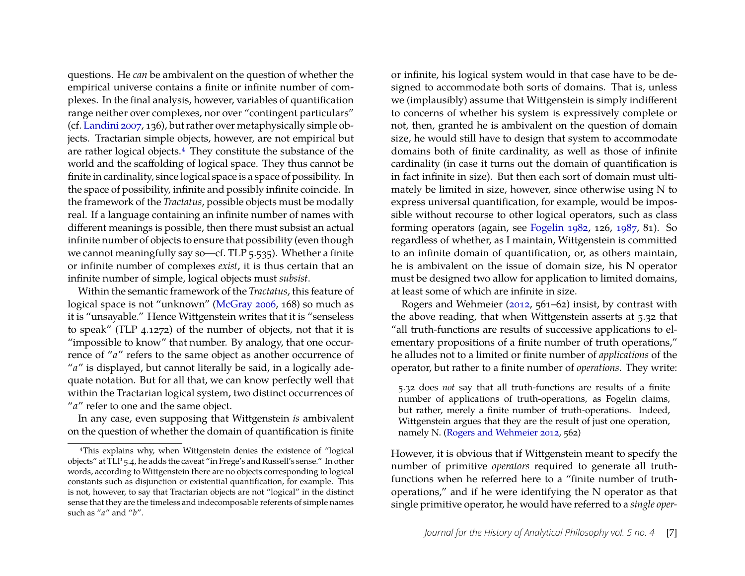questions. He *can* be ambivalent on the question of whether the empirical universe contains a finite or infinite number of complexes. In the final analysis, however, variables of quantification range neither over complexes, nor over "contingent particulars" (cf. [Landini 2007,](#page-25-5) 136), but rather over metaphysically simple objects. Tractarian simple objects, however, are not empirical but are rather logical objects.[4](#page-7-0) They constitute the substance of the world and the scaffolding of logical space. They thus cannot be finite in cardinality, since logical space is a space of possibility. In the space of possibility, infinite and possibly infinite coincide. In the framework of the *Tractatus*, possible objects must be modally real. If a language containing an infinite number of names with different meanings is possible, then there must subsist an actual infinite number of objects to ensure that possibility (even though we cannot meaningfully say so—cf. TLP 5.535). Whether a finite or infinite number of complexes *exist*, it is thus certain that an infinite number of simple, logical objects must *subsist*.

Within the semantic framework of the *Tractatus*, this feature of logical space is not "unknown" [\(McGray 2006,](#page-25-1) 168) so much as it is "unsayable." Hence Wittgenstein writes that it is "senseless to speak" (TLP 4.1272) of the number of objects, not that it is "impossible to know" that number. By analogy, that one occurrence of "*a*" refers to the same object as another occurrence of "a" is displayed, but cannot literally be said, in a logically adequate notation. But for all that, we can know perfectly well that within the Tractarian logical system, two distinct occurrences of "*a*" refer to one and the same object.

In any case, even supposing that Wittgenstein *is* ambivalent on the question of whether the domain of quantification is finite

or infinite, his logical system would in that case have to be designed to accommodate both sorts of domains. That is, unless we (implausibly) assume that Wittgenstein is simply indifferent to concerns of whether his system is expressively complete or not, then, granted he is ambivalent on the question of domain size, he would still have to design that system to accommodate domains both of finite cardinality, as well as those of infinite cardinality (in case it turns out the domain of quantification is in fact infinite in size). But then each sort of domain must ultimately be limited in size, however, since otherwise using N to express universal quantification, for example, would be impossible without recourse to other logical operators, such as class forming operators (again, see [Fogelin 1982,](#page-25-3) 126, [1987,](#page-25-0) 81). So regardless of whether, as I maintain, Wittgenstein is committed to an infinite domain of quantification, or, as others maintain, he is ambivalent on the issue of domain size, his N operator must be designed two allow for application to limited domains, at least some of which are infinite in size.

Rogers and Wehmeier [\(2012,](#page-26-8) 561–62) insist, by contrast with the above reading, that when Wittgenstein asserts at 5.32 that "all truth-functions are results of successive applications to elementary propositions of a finite number of truth operations," he alludes not to a limited or finite number of *applications* of the operator, but rather to a finite number of *operations*. They write:

5.32 does *not* say that all truth-functions are results of a finite number of applications of truth-operations, as Fogelin claims, but rather, merely a finite number of truth-operations. Indeed, Wittgenstein argues that they are the result of just one operation, namely N. [\(Rogers and Wehmeier 2012,](#page-26-8) 562)

However, it is obvious that if Wittgenstein meant to specify the number of primitive *operators* required to generate all truthfunctions when he referred here to a "finite number of truthoperations," and if he were identifying the N operator as that single primitive operator, he would have referred to a *single oper-*

<span id="page-7-0"></span><sup>4</sup>This explains why, when Wittgenstein denies the existence of "logical objects" at TLP 5.4, he adds the caveat "in Frege's and Russell's sense." In other words, according to Wittgenstein there are no objects corresponding to logical constants such as disjunction or existential quantification, for example. This is not, however, to say that Tractarian objects are not "logical" in the distinct sense that they are the timeless and indecomposable referents of simple names such as "*a*" and "*b*".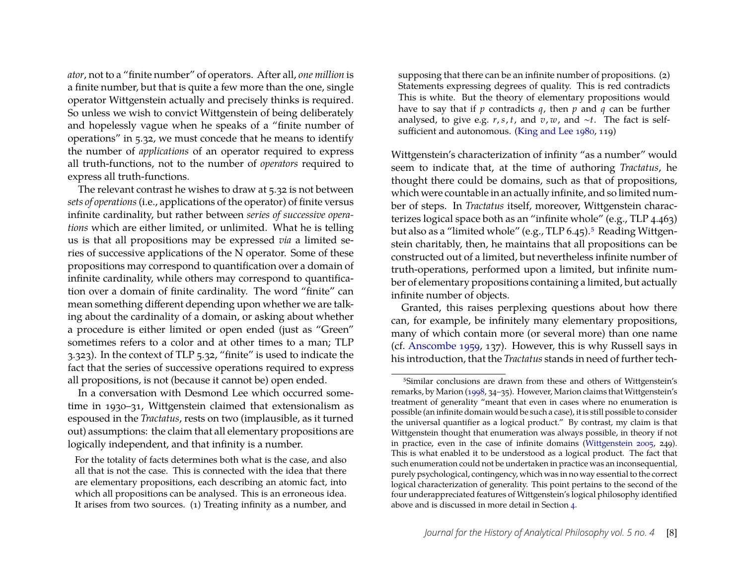*ator*, not to a "finite number" of operators. After all, *one million* is a finite number, but that is quite a few more than the one, single operator Wittgenstein actually and precisely thinks is required. So unless we wish to convict Wittgenstein of being deliberately and hopelessly vague when he speaks of a "finite number of operations" in 5.32, we must concede that he means to identify the number of *applications* of an operator required to express all truth-functions, not to the number of *operators* required to express all truth-functions.

The relevant contrast he wishes to draw at 5.32 is not between *sets of operations*(i.e., applications of the operator) of finite versus infinite cardinality, but rather between *series of successive operations* which are either limited, or unlimited. What he is telling us is that all propositions may be expressed *via* a limited series of successive applications of the N operator. Some of these propositions may correspond to quantification over a domain of infinite cardinality, while others may correspond to quantification over a domain of finite cardinality. The word "finite" can mean something different depending upon whether we are talking about the cardinality of a domain, or asking about whether a procedure is either limited or open ended (just as "Green" sometimes refers to a color and at other times to a man; TLP 3.323). In the context of TLP 5.32, "finite" is used to indicate the fact that the series of successive operations required to express all propositions, is not (because it cannot be) open ended.

In a conversation with Desmond Lee which occurred sometime in 1930–31, Wittgenstein claimed that extensionalism as espoused in the *Tractatus*, rests on two (implausible, as it turned out) assumptions: the claim that all elementary propositions are logically independent, and that infinity is a number.

For the totality of facts determines both what is the case, and also all that is not the case. This is connected with the idea that there are elementary propositions, each describing an atomic fact, into which all propositions can be analysed. This is an erroneous idea. It arises from two sources. (1) Treating infinity as a number, and

supposing that there can be an infinite number of propositions. (2) Statements expressing degrees of quality. This is red contradicts This is white. But the theory of elementary propositions would have to say that if  $p$  contradicts  $q$ , then  $p$  and  $q$  can be further analysed, to give e.g. *r*, *s*, *t*, and *v*, *w*, and ∼*t*. The fact is selfsufficient and autonomous. [\(King and Lee 1980,](#page-25-6) 119)

Wittgenstein's characterization of infinity "as a number" would seem to indicate that, at the time of authoring *Tractatus*, he thought there could be domains, such as that of propositions, which were countable in an actually infinite, and so limited number of steps. In *Tractatus* itself, moreover, Wittgenstein characterizes logical space both as an "infinite whole" (e.g., TLP 4.463) but also as a "limited whole" (e.g., TLP 6.4[5](#page-8-0)).<sup>5</sup> Reading Wittgenstein charitably, then, he maintains that all propositions can be constructed out of a limited, but nevertheless infinite number of truth-operations, performed upon a limited, but infinite number of elementary propositions containing a limited, but actually infinite number of objects.

Granted, this raises perplexing questions about how there can, for example, be infinitely many elementary propositions, many of which contain more (or several more) than one name (cf. [Anscombe 1959,](#page-25-7) 137). However, this is why Russell says in his introduction, that the *Tractatus* stands in need of further tech-

<span id="page-8-0"></span><sup>&</sup>lt;sup>5</sup>Similar conclusions are drawn from these and others of Wittgenstein's remarks, by Marion [\(1998,](#page-25-8) 34–35). However, Marion claims that Wittgenstein's treatment of generality "meant that even in cases where no enumeration is possible (an infinite domain would be such a case), it is still possible to consider the universal quantifier as a logical product." By contrast, my claim is that Wittgenstein thought that enumeration was always possible, in theory if not in practice, even in the case of infinite domains [\(Wittgenstein 2005,](#page-26-3) 249). This is what enabled it to be understood as a logical product. The fact that such enumeration could not be undertaken in practice was an inconsequential, purely psychological, contingency, which was in no way essential to the correct logical characterization of generality. This point pertains to the second of the four underappreciated features of Wittgenstein's logical philosophy identified above and is discussed in more detail in Section [4.](#page-15-0)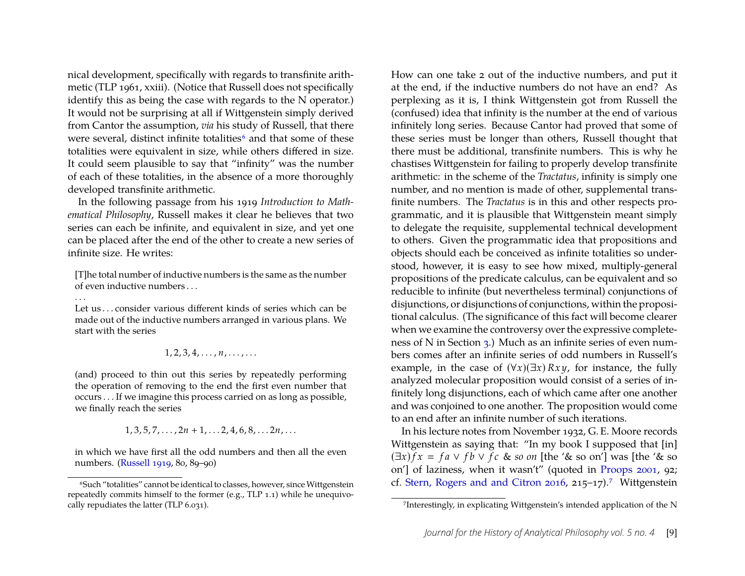nical development, specifically with regards to transfinite arithmetic (TLP 1961, xxiii). (Notice that Russell does not specifically identify this as being the case with regards to the N operator.) It would not be surprising at all if Wittgenstein simply derived from Cantor the assumption, *via* his study of Russell, that there were several, distinct infinite totalities<sup>[6](#page-9-0)</sup> and that some of these totalities were equivalent in size, while others differed in size. It could seem plausible to say that "infinity" was the number of each of these totalities, in the absence of a more thoroughly developed transfinite arithmetic.

In the following passage from his 1919 *Introduction to Mathematical Philosophy*, Russell makes it clear he believes that two series can each be infinite, and equivalent in size, and yet one can be placed after the end of the other to create a new series of infinite size. He writes:

[T]he total number of inductive numbers is the same as the number of even inductive numbers . . .

. . .

Let us ... consider various different kinds of series which can be made out of the inductive numbers arranged in various plans. We start with the series

#### $1, 2, 3, 4, \ldots, n, \ldots, \ldots$

(and) proceed to thin out this series by repeatedly performing the operation of removing to the end the first even number that occurs . . . If we imagine this process carried on as long as possible, we finally reach the series

 $1, 3, 5, 7, \ldots, 2n + 1, \ldots, 2, 4, 6, 8, \ldots, 2n, \ldots$ 

in which we have first all the odd numbers and then all the even numbers. [\(Russell 1919,](#page-26-9) 80, 89–90)

How can one take 2 out of the inductive numbers, and put it at the end, if the inductive numbers do not have an end? As perplexing as it is, I think Wittgenstein got from Russell the (confused) idea that infinity is the number at the end of various infinitely long series. Because Cantor had proved that some of these series must be longer than others, Russell thought that there must be additional, transfinite numbers. This is why he chastises Wittgenstein for failing to properly develop transfinite arithmetic: in the scheme of the *Tractatus*, infinity is simply one number, and no mention is made of other, supplemental transfinite numbers. The *Tractatus* is in this and other respects programmatic, and it is plausible that Wittgenstein meant simply to delegate the requisite, supplemental technical development to others. Given the programmatic idea that propositions and objects should each be conceived as infinite totalities so understood, however, it is easy to see how mixed, multiply-general propositions of the predicate calculus, can be equivalent and so reducible to infinite (but nevertheless terminal) conjunctions of disjunctions, or disjunctions of conjunctions, within the propositional calculus. (The significance of this fact will become clearer when we examine the controversy over the expressive completeness of N in Section [3.](#page-11-0)) Much as an infinite series of even numbers comes after an infinite series of odd numbers in Russell's example, in the case of  $(\forall x)(\exists x) Rxy$ , for instance, the fully analyzed molecular proposition would consist of a series of infinitely long disjunctions, each of which came after one another and was conjoined to one another. The proposition would come to an end after an infinite number of such iterations.

In his lecture notes from November 1932, G. E. Moore records Wittgenstein as saying that: "In my book I supposed that [in]  $(\exists x)$   $f x = f a \lor f b \lor f c$  & *so on* [the '& so on'] was [the '& so on'] of laziness, when it wasn't" (quoted in [Proops 2001,](#page-26-10) 92; cf. [Stern, Rogers and and Citron 2016,](#page-26-5) 215–1[7](#page-9-1)).<sup>7</sup> Wittgenstein

<span id="page-9-0"></span><sup>&</sup>lt;sup>6</sup>Such "totalities" cannot be identical to classes, however, since Wittgenstein repeatedly commits himself to the former (e.g., TLP 1.1) while he unequivocally repudiates the latter (TLP 6.031).

<span id="page-9-1"></span><sup>7</sup>Interestingly, in explicating Wittgenstein's intended application of the N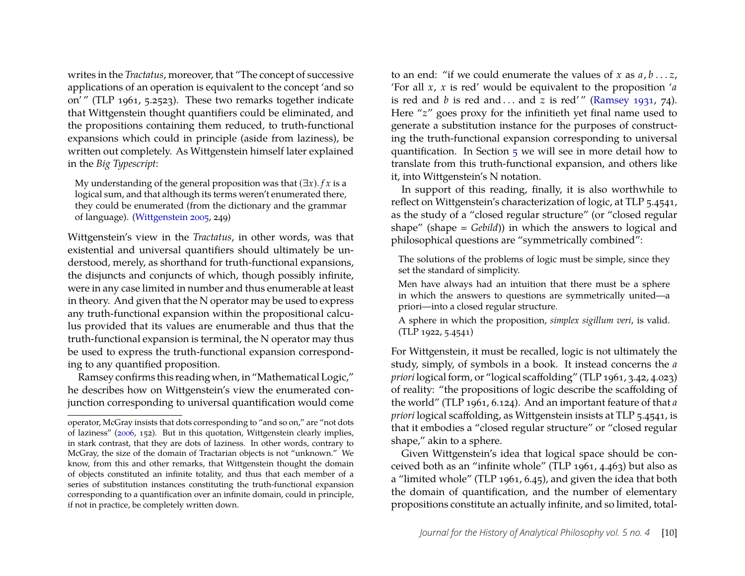writes in the *Tractatus*, moreover, that "The concept of successive applications of an operation is equivalent to the concept 'and so on' " (TLP 1961, 5.2523). These two remarks together indicate that Wittgenstein thought quantifiers could be eliminated, and the propositions containing them reduced, to truth-functional expansions which could in principle (aside from laziness), be written out completely. As Wittgenstein himself later explained in the *Big Typescript*:

My understanding of the general proposition was that  $(\exists x)$ . *f x* is a logical sum, and that although its terms weren't enumerated there, they could be enumerated (from the dictionary and the grammar of language). [\(Wittgenstein 2005,](#page-26-3) 249)

Wittgenstein's view in the *Tractatus*, in other words, was that existential and universal quantifiers should ultimately be understood, merely, as shorthand for truth-functional expansions, the disjuncts and conjuncts of which, though possibly infinite, were in any case limited in number and thus enumerable at least in theory. And given that the N operator may be used to express any truth-functional expansion within the propositional calculus provided that its values are enumerable and thus that the truth-functional expansion is terminal, the N operator may thus be used to express the truth-functional expansion corresponding to any quantified proposition.

Ramsey confirms this reading when, in "Mathematical Logic," he describes how on Wittgenstein's view the enumerated conjunction corresponding to universal quantification would come

to an end: "if we could enumerate the values of *x* as *a*, *b* . . . *z*, 'For all *x*, *x* is red' would be equivalent to the proposition '*a* is red and  $b$  is red and ... and  $z$  is red'" [\(Ramsey 1931,](#page-26-11) 74). Here "*z*" goes proxy for the infinitieth yet final name used to generate a substitution instance for the purposes of constructing the truth-functional expansion corresponding to universal quantification. In Section [5](#page-19-0) we will see in more detail how to translate from this truth-functional expansion, and others like it, into Wittgenstein's N notation.

In support of this reading, finally, it is also worthwhile to reflect on Wittgenstein's characterization of logic, at TLP 5.4541, as the study of a "closed regular structure" (or "closed regular shape" (shape = *Gebild*)) in which the answers to logical and philosophical questions are "symmetrically combined":

The solutions of the problems of logic must be simple, since they set the standard of simplicity.

Men have always had an intuition that there must be a sphere in which the answers to questions are symmetrically united—a priori—into a closed regular structure.

A sphere in which the proposition, *simplex sigillum veri*, is valid. (TLP 1922, 5.4541)

For Wittgenstein, it must be recalled, logic is not ultimately the study, simply, of symbols in a book. It instead concerns the *a priori* logical form, or "logical scaffolding" (TLP 1961, 3.42, 4.023) of reality: "the propositions of logic describe the scaffolding of the world" (TLP 1961, 6.124). And an important feature of that *a priori* logical scaffolding, as Wittgenstein insists at TLP 5.4541, is that it embodies a "closed regular structure" or "closed regular shape," akin to a sphere.

Given Wittgenstein's idea that logical space should be conceived both as an "infinite whole" (TLP 1961, 4.463) but also as a "limited whole" (TLP 1961, 6.45), and given the idea that both the domain of quantification, and the number of elementary propositions constitute an actually infinite, and so limited, total-

operator, McGray insists that dots corresponding to "and so on," are "not dots of laziness" [\(2006,](#page-25-1) 152). But in this quotation, Wittgenstein clearly implies, in stark contrast, that they are dots of laziness. In other words, contrary to McGray, the size of the domain of Tractarian objects is not "unknown." We know, from this and other remarks, that Wittgenstein thought the domain of objects constituted an infinite totality, and thus that each member of a series of substitution instances constituting the truth-functional expansion corresponding to a quantification over an infinite domain, could in principle, if not in practice, be completely written down.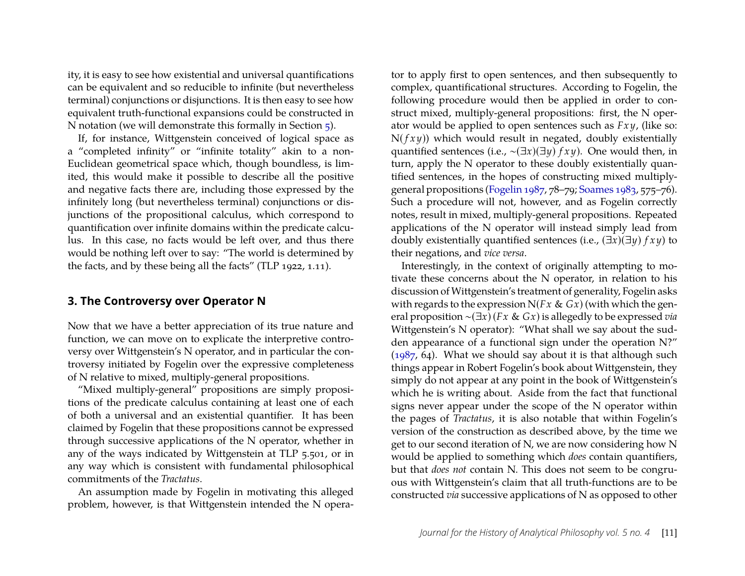ity, it is easy to see how existential and universal quantifications can be equivalent and so reducible to infinite (but nevertheless terminal) conjunctions or disjunctions. It is then easy to see how equivalent truth-functional expansions could be constructed in N notation (we will demonstrate this formally in Section [5\)](#page-19-0).

If, for instance, Wittgenstein conceived of logical space as a "completed infinity" or "infinite totality" akin to a non-Euclidean geometrical space which, though boundless, is limited, this would make it possible to describe all the positive and negative facts there are, including those expressed by the infinitely long (but nevertheless terminal) conjunctions or disjunctions of the propositional calculus, which correspond to quantification over infinite domains within the predicate calculus. In this case, no facts would be left over, and thus there would be nothing left over to say: "The world is determined by the facts, and by these being all the facts" (TLP 1922, 1.11).

#### <span id="page-11-0"></span>**3. The Controversy over Operator N**

Now that we have a better appreciation of its true nature and function, we can move on to explicate the interpretive controversy over Wittgenstein's N operator, and in particular the controversy initiated by Fogelin over the expressive completeness of N relative to mixed, multiply-general propositions.

"Mixed multiply-general" propositions are simply propositions of the predicate calculus containing at least one of each of both a universal and an existential quantifier. It has been claimed by Fogelin that these propositions cannot be expressed through successive applications of the N operator, whether in any of the ways indicated by Wittgenstein at TLP 5.501, or in any way which is consistent with fundamental philosophical commitments of the *Tractatus*.

An assumption made by Fogelin in motivating this alleged problem, however, is that Wittgenstein intended the N opera-

tor to apply first to open sentences, and then subsequently to complex, quantificational structures. According to Fogelin, the following procedure would then be applied in order to construct mixed, multiply-general propositions: first, the N operator would be applied to open sentences such as *Fx y*, (like so:  $N(fxy)$ ) which would result in negated, doubly existentially quantified sentences (i.e., ∼(∃*x*)(∃*y*) *f x y*). One would then, in turn, apply the N operator to these doubly existentially quantified sentences, in the hopes of constructing mixed multiplygeneral propositions [\(Fogelin 1987,](#page-25-0) 78–79; [Soames 1983,](#page-26-0) 575–76). Such a procedure will not, however, and as Fogelin correctly notes, result in mixed, multiply-general propositions. Repeated applications of the N operator will instead simply lead from doubly existentially quantified sentences (i.e.,  $(\exists x)(\exists y)$  *f xy*) to their negations, and *vice versa*.

Interestingly, in the context of originally attempting to motivate these concerns about the N operator, in relation to his discussion of Wittgenstein's treatment of generality, Fogelin asks with regards to the expression  $N(Fx \& Gx)$  (with which the general proposition ∼(∃*x*) (*Fx* & *Gx*) is allegedly to be expressed *via* Wittgenstein's N operator): "What shall we say about the sudden appearance of a functional sign under the operation N?" [\(1987,](#page-25-0) 64). What we should say about it is that although such things appear in Robert Fogelin's book about Wittgenstein, they simply do not appear at any point in the book of Wittgenstein's which he is writing about. Aside from the fact that functional signs never appear under the scope of the N operator within the pages of *Tractatus*, it is also notable that within Fogelin's version of the construction as described above, by the time we get to our second iteration of N, we are now considering how N would be applied to something which *does* contain quantifiers, but that *does not* contain N. This does not seem to be congruous with Wittgenstein's claim that all truth-functions are to be constructed *via* successive applications of N as opposed to other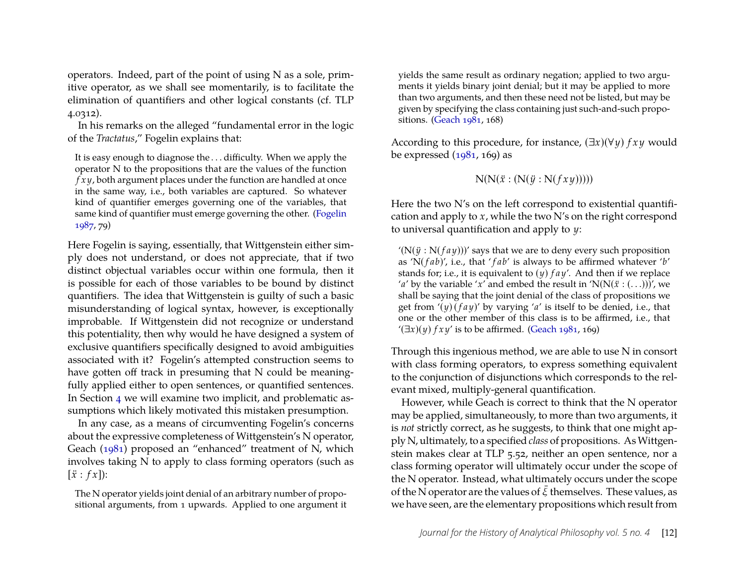operators. Indeed, part of the point of using N as a sole, primitive operator, as we shall see momentarily, is to facilitate the elimination of quantifiers and other logical constants (cf. TLP 4.0312).

In his remarks on the alleged "fundamental error in the logic of the *Tractatus*," Fogelin explains that:

It is easy enough to diagnose the . . . difficulty. When we apply the operator N to the propositions that are the values of the function *f x y*, both argument places under the function are handled at once in the same way, i.e., both variables are captured. So whatever kind of quantifier emerges governing one of the variables, that same kind of quantifier must emerge governing the other. [\(Fogelin](#page-25-0) [1987,](#page-25-0) 79)

Here Fogelin is saying, essentially, that Wittgenstein either simply does not understand, or does not appreciate, that if two distinct objectual variables occur within one formula, then it is possible for each of those variables to be bound by distinct quantifiers. The idea that Wittgenstein is guilty of such a basic misunderstanding of logical syntax, however, is exceptionally improbable. If Wittgenstein did not recognize or understand this potentiality, then why would he have designed a system of exclusive quantifiers specifically designed to avoid ambiguities associated with it? Fogelin's attempted construction seems to have gotten off track in presuming that N could be meaningfully applied either to open sentences, or quantified sentences. In Section [4](#page-15-0) we will examine two implicit, and problematic assumptions which likely motivated this mistaken presumption.

In any case, as a means of circumventing Fogelin's concerns about the expressive completeness of Wittgenstein's N operator, Geach [\(1981\)](#page-25-2) proposed an "enhanced" treatment of N, which involves taking N to apply to class forming operators (such as  $[\ddot{x}:fx]$ :

The N operator yields joint denial of an arbitrary number of propositional arguments, from 1 upwards. Applied to one argument it

yields the same result as ordinary negation; applied to two arguments it yields binary joint denial; but it may be applied to more than two arguments, and then these need not be listed, but may be given by specifying the class containing just such-and-such propositions. [\(Geach 1981,](#page-25-2) 168)

According to this procedure, for instance, (∃*x*)(∀*y*) *f x y* would be expressed  $(1981, 169)$  as

$$
N(N(\ddot{x}:(N(\ddot{y}:N(fxy))))
$$

Here the two N's on the left correspond to existential quantification and apply to *x*, while the two N's on the right correspond to universal quantification and apply to *y*:

 $'(\mathbf{N}(\ddot{y}:\mathbf{N}(fay)))'$  says that we are to deny every such proposition as 'N( *f ab*)', i.e., that ' *f ab*' is always to be affirmed whatever '*b*' stands for; i.e., it is equivalent to (*y*) *f a y*'. And then if we replace '*a*' by the variable '*x*' and embed the result in 'N(N( $\ddot{x}$  : (...)))', we shall be saying that the joint denial of the class of propositions we get from  $'(y)(\int f a y)'$  by varying 'a' is itself to be denied, i.e., that one or the other member of this class is to be affirmed, i.e., that  $\mathcal{L}(\exists x)(y)$  *f x y*' is to be affirmed. [\(Geach 1981,](#page-25-2) 169)

Through this ingenious method, we are able to use N in consort with class forming operators, to express something equivalent to the conjunction of disjunctions which corresponds to the relevant mixed, multiply-general quantification.

However, while Geach is correct to think that the N operator may be applied, simultaneously, to more than two arguments, it is *not* strictly correct, as he suggests, to think that one might apply N, ultimately, to a specified *class* of propositions. AsWittgenstein makes clear at TLP 5.52, neither an open sentence, nor a class forming operator will ultimately occur under the scope of the N operator. Instead, what ultimately occurs under the scope of the N operator are the values of  $\bar{\xi}$  themselves. These values, as we have seen, are the elementary propositions which result from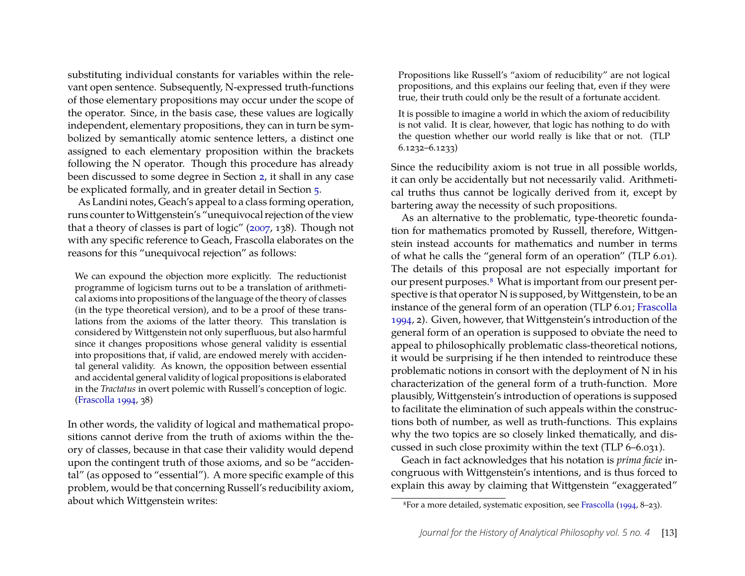substituting individual constants for variables within the relevant open sentence. Subsequently, N-expressed truth-functions of those elementary propositions may occur under the scope of the operator. Since, in the basis case, these values are logically independent, elementary propositions, they can in turn be symbolized by semantically atomic sentence letters, a distinct one assigned to each elementary proposition within the brackets following the N operator. Though this procedure has already been discussed to some degree in Section [2,](#page-3-0) it shall in any case be explicated formally, and in greater detail in Section [5.](#page-19-0)

As Landini notes, Geach's appeal to a class forming operation, runs counter to Wittgenstein's "unequivocal rejection of the view that a theory of classes is part of logic" [\(2007,](#page-25-5) 138). Though not with any specific reference to Geach, Frascolla elaborates on the reasons for this "unequivocal rejection" as follows:

We can expound the objection more explicitly. The reductionist programme of logicism turns out to be a translation of arithmetical axioms into propositions of the language of the theory of classes (in the type theoretical version), and to be a proof of these translations from the axioms of the latter theory. This translation is considered by Wittgenstein not only superfluous, but also harmful since it changes propositions whose general validity is essential into propositions that, if valid, are endowed merely with accidental general validity. As known, the opposition between essential and accidental general validity of logical propositions is elaborated in the *Tractatus* in overt polemic with Russell's conception of logic. [\(Frascolla 1994,](#page-25-9) 38)

In other words, the validity of logical and mathematical propositions cannot derive from the truth of axioms within the theory of classes, because in that case their validity would depend upon the contingent truth of those axioms, and so be "accidental" (as opposed to "essential"). A more specific example of this problem, would be that concerning Russell's reducibility axiom, about which Wittgenstein writes:

Propositions like Russell's "axiom of reducibility" are not logical propositions, and this explains our feeling that, even if they were true, their truth could only be the result of a fortunate accident.

It is possible to imagine a world in which the axiom of reducibility is not valid. It is clear, however, that logic has nothing to do with the question whether our world really is like that or not. (TLP 6.1232–6.1233)

Since the reducibility axiom is not true in all possible worlds, it can only be accidentally but not necessarily valid. Arithmetical truths thus cannot be logically derived from it, except by bartering away the necessity of such propositions.

As an alternative to the problematic, type-theoretic foundation for mathematics promoted by Russell, therefore, Wittgenstein instead accounts for mathematics and number in terms of what he calls the "general form of an operation" (TLP 6.01). The details of this proposal are not especially important for our present purposes.[8](#page-13-0) What is important from our present perspective is that operator N is supposed, by Wittgenstein, to be an instance of the general form of an operation (TLP 6.01; [Frascolla](#page-25-9) [1994,](#page-25-9) 2). Given, however, that Wittgenstein's introduction of the general form of an operation is supposed to obviate the need to appeal to philosophically problematic class-theoretical notions, it would be surprising if he then intended to reintroduce these problematic notions in consort with the deployment of N in his characterization of the general form of a truth-function. More plausibly, Wittgenstein's introduction of operations is supposed to facilitate the elimination of such appeals within the constructions both of number, as well as truth-functions. This explains why the two topics are so closely linked thematically, and discussed in such close proximity within the text (TLP 6–6.031).

Geach in fact acknowledges that his notation is *prima facie* incongruous with Wittgenstein's intentions, and is thus forced to explain this away by claiming that Wittgenstein "exaggerated"

<span id="page-13-0"></span><sup>8</sup>For a more detailed, systematic exposition, see [Frascolla](#page-25-9) [\(1994,](#page-25-9) 8–23).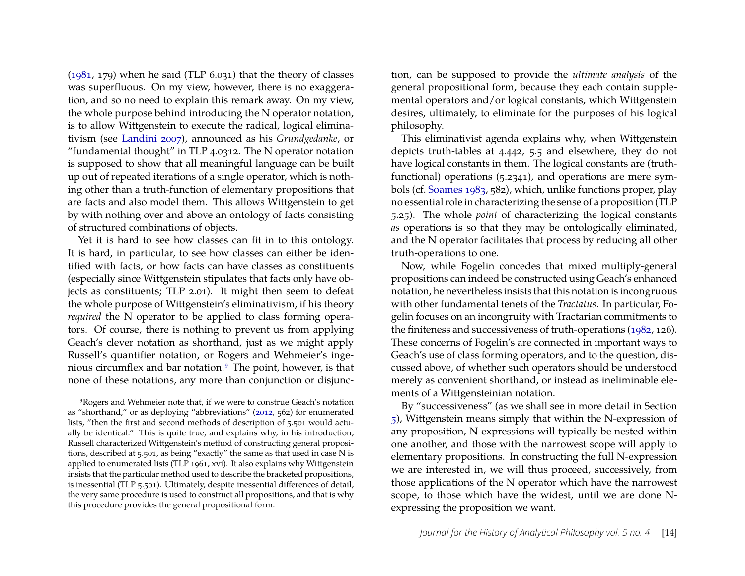[\(1981,](#page-25-2) 179) when he said (TLP 6.031) that the theory of classes was superfluous. On my view, however, there is no exaggeration, and so no need to explain this remark away. On my view, the whole purpose behind introducing the N operator notation, is to allow Wittgenstein to execute the radical, logical eliminativism (see [Landini 2007\)](#page-25-5), announced as his *Grundgedanke*, or "fundamental thought" in TLP 4.0312. The N operator notation is supposed to show that all meaningful language can be built up out of repeated iterations of a single operator, which is nothing other than a truth-function of elementary propositions that are facts and also model them. This allows Wittgenstein to get by with nothing over and above an ontology of facts consisting of structured combinations of objects.

Yet it is hard to see how classes can fit in to this ontology. It is hard, in particular, to see how classes can either be identified with facts, or how facts can have classes as constituents (especially since Wittgenstein stipulates that facts only have objects as constituents; TLP 2.01). It might then seem to defeat the whole purpose of Wittgenstein's eliminativism, if his theory *required* the N operator to be applied to class forming operators. Of course, there is nothing to prevent us from applying Geach's clever notation as shorthand, just as we might apply Russell's quantifier notation, or Rogers and Wehmeier's ingenious circumflex and bar notation.[9](#page-14-0) The point, however, is that none of these notations, any more than conjunction or disjunction, can be supposed to provide the *ultimate analysis* of the general propositional form, because they each contain supplemental operators and/or logical constants, which Wittgenstein desires, ultimately, to eliminate for the purposes of his logical philosophy.

This eliminativist agenda explains why, when Wittgenstein depicts truth-tables at 4.442, 5.5 and elsewhere, they do not have logical constants in them. The logical constants are (truthfunctional) operations (5.2341), and operations are mere symbols (cf. [Soames 1983,](#page-26-0) 582), which, unlike functions proper, play no essential role in characterizing the sense of a proposition (TLP 5.25). The whole *point* of characterizing the logical constants *as* operations is so that they may be ontologically eliminated, and the N operator facilitates that process by reducing all other truth-operations to one.

Now, while Fogelin concedes that mixed multiply-general propositions can indeed be constructed using Geach's enhanced notation, he nevertheless insists that this notation is incongruous with other fundamental tenets of the *Tractatus*. In particular, Fogelin focuses on an incongruity with Tractarian commitments to the finiteness and successiveness of truth-operations [\(1982,](#page-25-3) 126). These concerns of Fogelin's are connected in important ways to Geach's use of class forming operators, and to the question, discussed above, of whether such operators should be understood merely as convenient shorthand, or instead as ineliminable elements of a Wittgensteinian notation.

By "successiveness" (as we shall see in more detail in Section [5\)](#page-19-0), Wittgenstein means simply that within the N-expression of any proposition, N-expressions will typically be nested within one another, and those with the narrowest scope will apply to elementary propositions. In constructing the full N-expression we are interested in, we will thus proceed, successively, from those applications of the N operator which have the narrowest scope, to those which have the widest, until we are done Nexpressing the proposition we want.

<span id="page-14-0"></span><sup>9</sup>Rogers and Wehmeier note that, if we were to construe Geach's notation as "shorthand," or as deploying "abbreviations" [\(2012,](#page-26-8) 562) for enumerated lists, "then the first and second methods of description of 5.501 would actually be identical." This is quite true, and explains why, in his introduction, Russell characterized Wittgenstein's method of constructing general propositions, described at 5.501, as being "exactly" the same as that used in case N is applied to enumerated lists (TLP 1961, xvi). It also explains why Wittgenstein insists that the particular method used to describe the bracketed propositions, is inessential (TLP 5.501). Ultimately, despite inessential differences of detail, the very same procedure is used to construct all propositions, and that is why this procedure provides the general propositional form.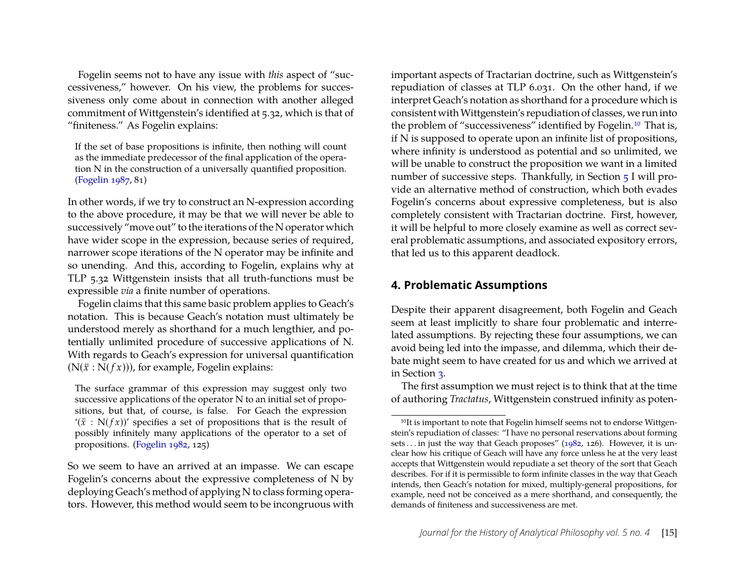Fogelin seems not to have any issue with *this* aspect of "successiveness," however. On his view, the problems for successiveness only come about in connection with another alleged commitment of Wittgenstein's identified at 5.32, which is that of "finiteness." As Fogelin explains:

If the set of base propositions is infinite, then nothing will count as the immediate predecessor of the final application of the operation N in the construction of a universally quantified proposition. [\(Fogelin 1987,](#page-25-0) 81)

In other words, if we try to construct an N-expression according to the above procedure, it may be that we will never be able to successively "move out" to the iterations of the N operator which have wider scope in the expression, because series of required, narrower scope iterations of the N operator may be infinite and so unending. And this, according to Fogelin, explains why at TLP 5.32 Wittgenstein insists that all truth-functions must be expressible *via* a finite number of operations.

Fogelin claims that this same basic problem applies to Geach's notation. This is because Geach's notation must ultimately be understood merely as shorthand for a much lengthier, and potentially unlimited procedure of successive applications of N. With regards to Geach's expression for universal quantification  $(N(\ddot{x}: N(fx)))$ , for example, Fogelin explains:

The surface grammar of this expression may suggest only two successive applications of the operator N to an initial set of propositions, but that, of course, is false. For Geach the expression '( $\ddot{x}$  : N( $f(x)$ )' specifies a set of propositions that is the result of possibly infinitely many applications of the operator to a set of propositions. [\(Fogelin 1982,](#page-25-3) 125)

So we seem to have an arrived at an impasse. We can escape Fogelin's concerns about the expressive completeness of N by deploying Geach's method of applying N to class forming operators. However, this method would seem to be incongruous with

important aspects of Tractarian doctrine, such as Wittgenstein's repudiation of classes at TLP 6.031. On the other hand, if we interpret Geach's notation as shorthand for a procedure which is consistent with Wittgenstein's repudiation of classes, we run into the problem of "successiveness" identified by Fogelin.[10](#page-15-1) That is, if N is supposed to operate upon an infinite list of propositions, where infinity is understood as potential and so unlimited, we will be unable to construct the proposition we want in a limited number of successive steps. Thankfully, in Section [5](#page-19-0) I will provide an alternative method of construction, which both evades Fogelin's concerns about expressive completeness, but is also completely consistent with Tractarian doctrine. First, however, it will be helpful to more closely examine as well as correct several problematic assumptions, and associated expository errors, that led us to this apparent deadlock.

#### <span id="page-15-0"></span>**4. Problematic Assumptions**

Despite their apparent disagreement, both Fogelin and Geach seem at least implicitly to share four problematic and interrelated assumptions. By rejecting these four assumptions, we can avoid being led into the impasse, and dilemma, which their debate might seem to have created for us and which we arrived at in Section [3.](#page-11-0)

The first assumption we must reject is to think that at the time of authoring *Tractatus*, Wittgenstein construed infinity as poten-

<span id="page-15-1"></span><sup>&</sup>lt;sup>10</sup>It is important to note that Fogelin himself seems not to endorse Wittgenstein's repudiation of classes: "I have no personal reservations about forming sets... in just the way that Geach proposes" ( $1982$ ,  $126$ ). However, it is unclear how his critique of Geach will have any force unless he at the very least accepts that Wittgenstein would repudiate a set theory of the sort that Geach describes. For if it is permissible to form infinite classes in the way that Geach intends, then Geach's notation for mixed, multiply-general propositions, for example, need not be conceived as a mere shorthand, and consequently, the demands of finiteness and successiveness are met.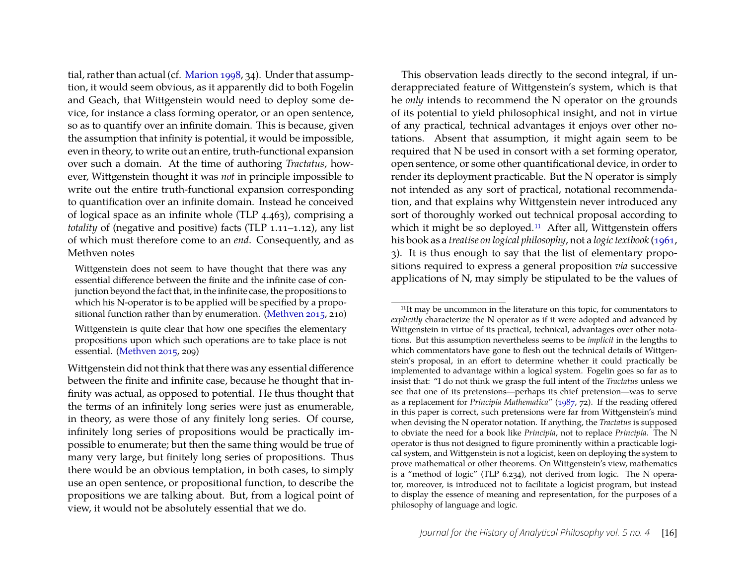tial, rather than actual (cf. [Marion 1998,](#page-25-8) 34). Under that assumption, it would seem obvious, as it apparently did to both Fogelin and Geach, that Wittgenstein would need to deploy some device, for instance a class forming operator, or an open sentence, so as to quantify over an infinite domain. This is because, given the assumption that infinity is potential, it would be impossible, even in theory, to write out an entire, truth-functional expansion over such a domain. At the time of authoring *Tractatus*, however, Wittgenstein thought it was *not* in principle impossible to write out the entire truth-functional expansion corresponding to quantification over an infinite domain. Instead he conceived of logical space as an infinite whole (TLP 4.463), comprising a *totality* of (negative and positive) facts (TLP 1.11–1.12), any list of which must therefore come to an *end*. Consequently, and as Methven notes

Wittgenstein is quite clear that how one specifies the elementary propositions upon which such operations are to take place is not essential. [\(Methven 2015,](#page-26-12) 209)

This observation leads directly to the second integral, if underappreciated feature of Wittgenstein's system, which is that he *only* intends to recommend the N operator on the grounds of its potential to yield philosophical insight, and not in virtue of any practical, technical advantages it enjoys over other notations. Absent that assumption, it might again seem to be required that N be used in consort with a set forming operator, open sentence, or some other quantificational device, in order to render its deployment practicable. But the N operator is simply not intended as any sort of practical, notational recommendation, and that explains why Wittgenstein never introduced any sort of thoroughly worked out technical proposal according to which it might be so deployed.<sup>[11](#page-16-0)</sup> After all, Wittgenstein offers his book as a *treatise on logical philosophy*, not a *logic textbook* [\(1961,](#page-26-2) 3). It is thus enough to say that the list of elementary propositions required to express a general proposition *via* successive applications of N, may simply be stipulated to be the values of

Wittgenstein does not seem to have thought that there was any essential difference between the finite and the infinite case of conjunction beyond the fact that, in the infinite case, the propositions to which his N-operator is to be applied will be specified by a propositional function rather than by enumeration. [\(Methven 2015,](#page-26-12) 210)

Wittgenstein did not think that there was any essential difference between the finite and infinite case, because he thought that infinity was actual, as opposed to potential. He thus thought that the terms of an infinitely long series were just as enumerable, in theory, as were those of any finitely long series. Of course, infinitely long series of propositions would be practically impossible to enumerate; but then the same thing would be true of many very large, but finitely long series of propositions. Thus there would be an obvious temptation, in both cases, to simply use an open sentence, or propositional function, to describe the propositions we are talking about. But, from a logical point of view, it would not be absolutely essential that we do.

<span id="page-16-0"></span><sup>&</sup>lt;sup>11</sup>It may be uncommon in the literature on this topic, for commentators to *explicitly* characterize the N operator as if it were adopted and advanced by Wittgenstein in virtue of its practical, technical, advantages over other notations. But this assumption nevertheless seems to be *implicit* in the lengths to which commentators have gone to flesh out the technical details of Wittgenstein's proposal, in an effort to determine whether it could practically be implemented to advantage within a logical system. Fogelin goes so far as to insist that: "I do not think we grasp the full intent of the *Tractatus* unless we see that one of its pretensions—perhaps its chief pretension—was to serve as a replacement for *Principia Mathematica*" [\(1987,](#page-25-0) 72). If the reading offered in this paper is correct, such pretensions were far from Wittgenstein's mind when devising the N operator notation. If anything, the *Tractatus* is supposed to obviate the need for a book like *Principia*, not to replace *Principia*. The N operator is thus not designed to figure prominently within a practicable logical system, and Wittgenstein is not a logicist, keen on deploying the system to prove mathematical or other theorems. On Wittgenstein's view, mathematics is a "method of logic" (TLP 6.234), not derived from logic. The N operator, moreover, is introduced not to facilitate a logicist program, but instead to display the essence of meaning and representation, for the purposes of a philosophy of language and logic.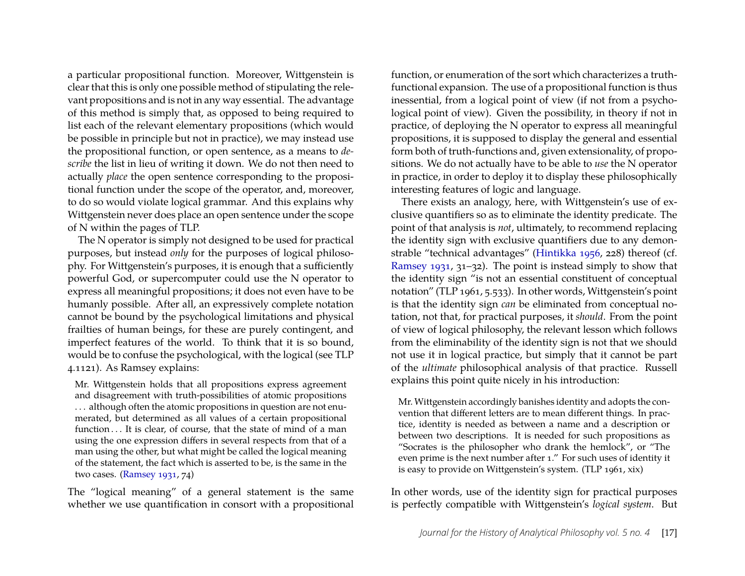a particular propositional function. Moreover, Wittgenstein is clear that this is only one possible method of stipulating the relevant propositions and is not in any way essential. The advantage of this method is simply that, as opposed to being required to list each of the relevant elementary propositions (which would be possible in principle but not in practice), we may instead use the propositional function, or open sentence, as a means to *describe* the list in lieu of writing it down. We do not then need to actually *place* the open sentence corresponding to the propositional function under the scope of the operator, and, moreover, to do so would violate logical grammar. And this explains why Wittgenstein never does place an open sentence under the scope of N within the pages of TLP.

The N operator is simply not designed to be used for practical purposes, but instead *only* for the purposes of logical philosophy. For Wittgenstein's purposes, it is enough that a sufficiently powerful God, or supercomputer could use the N operator to express all meaningful propositions; it does not even have to be humanly possible. After all, an expressively complete notation cannot be bound by the psychological limitations and physical frailties of human beings, for these are purely contingent, and imperfect features of the world. To think that it is so bound, would be to confuse the psychological, with the logical (see TLP 4.1121). As Ramsey explains:

Mr. Wittgenstein holds that all propositions express agreement and disagreement with truth-possibilities of atomic propositions ... although often the atomic propositions in question are not enumerated, but determined as all values of a certain propositional function . . . It is clear, of course, that the state of mind of a man using the one expression differs in several respects from that of a man using the other, but what might be called the logical meaning of the statement, the fact which is asserted to be, is the same in the two cases. [\(Ramsey 1931,](#page-26-11) 74)

The "logical meaning" of a general statement is the same whether we use quantification in consort with a propositional

function, or enumeration of the sort which characterizes a truthfunctional expansion. The use of a propositional function is thus inessential, from a logical point of view (if not from a psychological point of view). Given the possibility, in theory if not in practice, of deploying the N operator to express all meaningful propositions, it is supposed to display the general and essential form both of truth-functions and, given extensionality, of propositions. We do not actually have to be able to *use* the N operator in practice, in order to deploy it to display these philosophically interesting features of logic and language.

There exists an analogy, here, with Wittgenstein's use of exclusive quantifiers so as to eliminate the identity predicate. The point of that analysis is *not*, ultimately, to recommend replacing the identity sign with exclusive quantifiers due to any demonstrable "technical advantages" [\(Hintikka 1956,](#page-25-10) 228) thereof (cf. [Ramsey 1931,](#page-26-11) 31–32). The point is instead simply to show that the identity sign "is not an essential constituent of conceptual notation" (TLP 1961, 5.533). In other words, Wittgenstein's point is that the identity sign *can* be eliminated from conceptual notation, not that, for practical purposes, it *should*. From the point of view of logical philosophy, the relevant lesson which follows from the eliminability of the identity sign is not that we should not use it in logical practice, but simply that it cannot be part of the *ultimate* philosophical analysis of that practice. Russell explains this point quite nicely in his introduction:

Mr. Wittgenstein accordingly banishes identity and adopts the convention that different letters are to mean different things. In practice, identity is needed as between a name and a description or between two descriptions. It is needed for such propositions as "Socrates is the philosopher who drank the hemlock", or "The even prime is the next number after 1." For such uses of identity it is easy to provide on Wittgenstein's system. (TLP 1961, xix)

In other words, use of the identity sign for practical purposes is perfectly compatible with Wittgenstein's *logical system*. But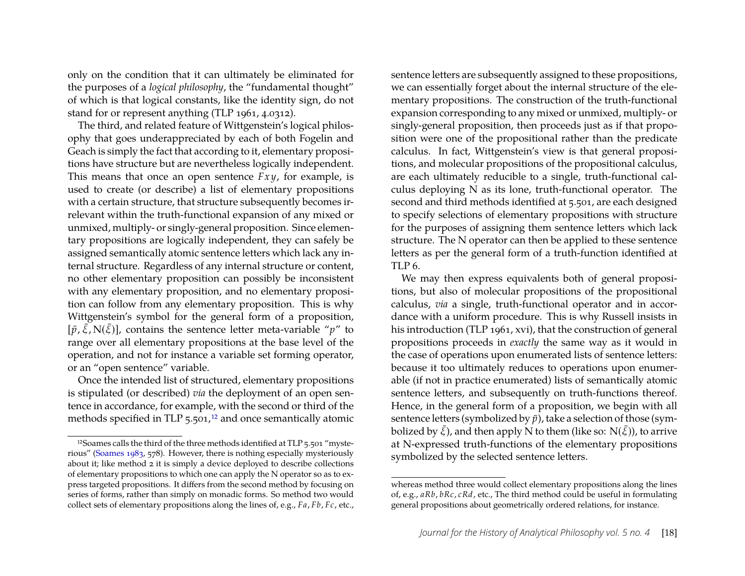only on the condition that it can ultimately be eliminated for the purposes of a *logical philosophy*, the "fundamental thought" of which is that logical constants, like the identity sign, do not stand for or represent anything (TLP 1961, 4.0312).

The third, and related feature of Wittgenstein's logical philosophy that goes underappreciated by each of both Fogelin and Geach is simply the fact that according to it, elementary propositions have structure but are nevertheless logically independent. This means that once an open sentence *Fx y*, for example, is used to create (or describe) a list of elementary propositions with a certain structure, that structure subsequently becomes irrelevant within the truth-functional expansion of any mixed or unmixed, multiply- or singly-general proposition. Since elementary propositions are logically independent, they can safely be assigned semantically atomic sentence letters which lack any internal structure. Regardless of any internal structure or content, no other elementary proposition can possibly be inconsistent with any elementary proposition, and no elementary proposition can follow from any elementary proposition. This is why Wittgenstein's symbol for the general form of a proposition,  $[\bar{p}, \bar{\xi}, N(\bar{\xi})]$ , contains the sentence letter meta-variable "*p*" to range over all elementary propositions at the base level of the operation, and not for instance a variable set forming operator, or an "open sentence" variable.

Once the intended list of structured, elementary propositions is stipulated (or described) *via* the deployment of an open sentence in accordance, for example, with the second or third of the methods specified in TLP  $5.501$ ,<sup>[12](#page-18-0)</sup> and once semantically atomic sentence letters are subsequently assigned to these propositions, we can essentially forget about the internal structure of the elementary propositions. The construction of the truth-functional expansion corresponding to any mixed or unmixed, multiply- or singly-general proposition, then proceeds just as if that proposition were one of the propositional rather than the predicate calculus. In fact, Wittgenstein's view is that general propositions, and molecular propositions of the propositional calculus, are each ultimately reducible to a single, truth-functional calculus deploying N as its lone, truth-functional operator. The second and third methods identified at 5.501, are each designed to specify selections of elementary propositions with structure for the purposes of assigning them sentence letters which lack structure. The N operator can then be applied to these sentence letters as per the general form of a truth-function identified at TLP 6.

We may then express equivalents both of general propositions, but also of molecular propositions of the propositional calculus, *via* a single, truth-functional operator and in accordance with a uniform procedure. This is why Russell insists in his introduction (TLP 1961, xvi), that the construction of general propositions proceeds in *exactly* the same way as it would in the case of operations upon enumerated lists of sentence letters: because it too ultimately reduces to operations upon enumerable (if not in practice enumerated) lists of semantically atomic sentence letters, and subsequently on truth-functions thereof. Hence, in the general form of a proposition, we begin with all sentence letters (symbolized by  $\bar{p}$ ), take a selection of those (symbolized by  $\bar{\xi}$ ), and then apply  $\rm N$  to them (like so:  $\rm N(\bar{\xi}$ )), to arrive at N-expressed truth-functions of the elementary propositions symbolized by the selected sentence letters.

<span id="page-18-0"></span><sup>12</sup>Soames calls the third of the three methods identified at TLP 5.501 "mysterious" [\(Soames 1983,](#page-26-0) 578). However, there is nothing especially mysteriously about it; like method 2 it is simply a device deployed to describe collections of elementary propositions to which one can apply the N operator so as to express targeted propositions. It differs from the second method by focusing on series of forms, rather than simply on monadic forms. So method two would collect sets of elementary propositions along the lines of, e.g., *Fa*, *Fb*, *Fc*, etc.,

whereas method three would collect elementary propositions along the lines of, e.g., *aRb*, *bRc*, *cRd*, etc., The third method could be useful in formulating general propositions about geometrically ordered relations, for instance.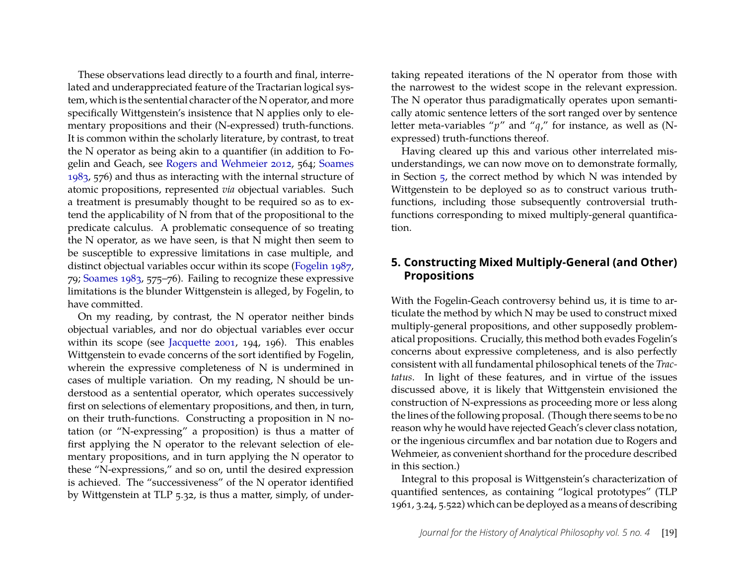These observations lead directly to a fourth and final, interrelated and underappreciated feature of the Tractarian logical system, which is the sentential character of the N operator, and more specifically Wittgenstein's insistence that N applies only to elementary propositions and their (N-expressed) truth-functions. It is common within the scholarly literature, by contrast, to treat the N operator as being akin to a quantifier (in addition to Fogelin and Geach, see [Rogers and Wehmeier 2012,](#page-26-8) 564; [Soames](#page-26-0) [1983,](#page-26-0) 576) and thus as interacting with the internal structure of atomic propositions, represented *via* objectual variables. Such a treatment is presumably thought to be required so as to extend the applicability of N from that of the propositional to the predicate calculus. A problematic consequence of so treating the N operator, as we have seen, is that N might then seem to be susceptible to expressive limitations in case multiple, and distinct objectual variables occur within its scope [\(Fogelin 1987,](#page-25-0) 79; [Soames 1983,](#page-26-0) 575–76). Failing to recognize these expressive limitations is the blunder Wittgenstein is alleged, by Fogelin, to have committed.

On my reading, by contrast, the N operator neither binds objectual variables, and nor do objectual variables ever occur within its scope (see [Jacquette 2001,](#page-25-11) 194, 196). This enables Wittgenstein to evade concerns of the sort identified by Fogelin, wherein the expressive completeness of N is undermined in cases of multiple variation. On my reading, N should be understood as a sentential operator, which operates successively first on selections of elementary propositions, and then, in turn, on their truth-functions. Constructing a proposition in N notation (or "N-expressing" a proposition) is thus a matter of first applying the N operator to the relevant selection of elementary propositions, and in turn applying the N operator to these "N-expressions," and so on, until the desired expression is achieved. The "successiveness" of the N operator identified by Wittgenstein at TLP 5.32, is thus a matter, simply, of undertaking repeated iterations of the N operator from those with the narrowest to the widest scope in the relevant expression. The N operator thus paradigmatically operates upon semantically atomic sentence letters of the sort ranged over by sentence letter meta-variables "*p*" and "*q*," for instance, as well as (Nexpressed) truth-functions thereof.

Having cleared up this and various other interrelated misunderstandings, we can now move on to demonstrate formally, in Section  $\frac{1}{2}$ , the correct method by which N was intended by Wittgenstein to be deployed so as to construct various truthfunctions, including those subsequently controversial truthfunctions corresponding to mixed multiply-general quantification.

#### <span id="page-19-0"></span>**5. Constructing Mixed Multiply-General (and Other) Propositions**

With the Fogelin-Geach controversy behind us, it is time to articulate the method by which N may be used to construct mixed multiply-general propositions, and other supposedly problematical propositions. Crucially, this method both evades Fogelin's concerns about expressive completeness, and is also perfectly consistent with all fundamental philosophical tenets of the *Tractatus*. In light of these features, and in virtue of the issues discussed above, it is likely that Wittgenstein envisioned the construction of N-expressions as proceeding more or less along the lines of the following proposal. (Though there seems to be no reason why he would have rejected Geach's clever class notation, or the ingenious circumflex and bar notation due to Rogers and Wehmeier, as convenient shorthand for the procedure described in this section.)

Integral to this proposal is Wittgenstein's characterization of quantified sentences, as containing "logical prototypes" (TLP 1961, 3.24, 5.522) which can be deployed as a means of describing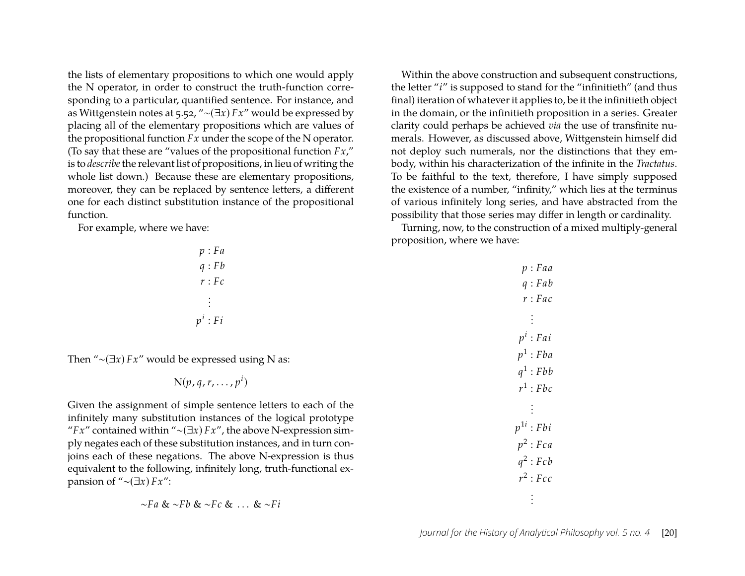the lists of elementary propositions to which one would apply the N operator, in order to construct the truth-function corresponding to a particular, quantified sentence. For instance, and as Wittgenstein notes at 5.52, "∼(∃*x*) *Fx*" would be expressed by placing all of the elementary propositions which are values of the propositional function *Fx* under the scope of the N operator. (To say that these are "values of the propositional function *Fx*," is to *describe*the relevant list of propositions, in lieu of writing the whole list down.) Because these are elementary propositions, moreover, they can be replaced by sentence letters, a different one for each distinct substitution instance of the propositional function.

For example, where we have:

| p:Fa       |  |
|------------|--|
| q: Fb      |  |
| r:Fc       |  |
| $\cdot$    |  |
| $p^i$ : Fi |  |

Then "∼(∃*x*) *Fx*" would be expressed using N as:

$$
N(p,q,r,\ldots,p^i)
$$

Given the assignment of simple sentence letters to each of the infinitely many substitution instances of the logical prototype "*Fx*" contained within "∼(∃*x*) *Fx*", the above N-expression simply negates each of these substitution instances, and in turn conjoins each of these negations. The above N-expression is thus equivalent to the following, infinitely long, truth-functional expansion of "∼(∃*x*) *Fx*":

$$
\sim Fa < \sim Fb < \sim Fc < \ldots < \sim Fi
$$

Within the above construction and subsequent constructions, the letter "*i*" is supposed to stand for the "infinitieth" (and thus final) iteration of whatever it applies to, be it the infinitieth object in the domain, or the infinitieth proposition in a series. Greater clarity could perhaps be achieved *via* the use of transfinite numerals. However, as discussed above, Wittgenstein himself did not deploy such numerals, nor the distinctions that they embody, within his characterization of the infinite in the *Tractatus*. To be faithful to the text, therefore, I have simply supposed the existence of a number, "infinity," which lies at the terminus of various infinitely long series, and have abstracted from the possibility that those series may differ in length or cardinality.

Turning, now, to the construction of a mixed multiply-general proposition, where we have:

| p : Faa        |
|----------------|
| q: Fab         |
| r:Fac          |
| ÷              |
| $p^i$ : Fai    |
| $p^1$ : Fba    |
| $q^1$ : Fbb    |
| $r^1$ : Fbc    |
| $\ddot{\cdot}$ |
| $p^{1i}$ : Fbi |
| $p^2$ : Fca    |
| $q^2$ : Fcb    |
| $r^2$ : Fcc    |
|                |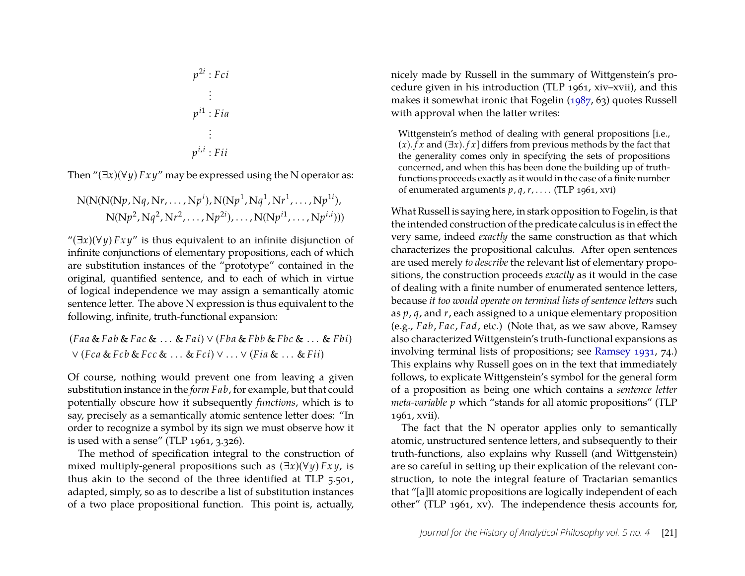$$
p^{2i} : Fci
$$
\n
$$
\vdots
$$
\n
$$
p^{i1} : Fia
$$
\n
$$
\vdots
$$
\n
$$
p^{i,i} : Fii
$$

Then " $(\exists x)(\forall y)$  *Fxy*" may be expressed using the N operator as:

$$
N(N(N(Np, Nq, Nr, ..., Npi), N(Np1, Nq1, Nr1, ..., Np1i),
$$
  
 
$$
N(Np2, Nq2, Nr2, ..., Np2i), ..., N(Npi1, ..., Npi,i)))
$$

" $(\exists x)(\forall y) Fxy$ " is thus equivalent to an infinite disjunction of infinite conjunctions of elementary propositions, each of which are substitution instances of the "prototype" contained in the original, quantified sentence, and to each of which in virtue of logical independence we may assign a semantically atomic sentence letter. The above N expression is thus equivalent to the following, infinite, truth-functional expansion:

$$
(Faa & Fab & Fac & \dots & Fai) \lor (Fba & Fbb & Fbc & \dots & Fbi)
$$
\n
$$
\lor (Fca & Fcb & Fcc & \dots & Fci) \lor \dots \lor (Fia & \dots & Fii)
$$

Of course, nothing would prevent one from leaving a given substitution instance in the *form Fab*, for example, but that could potentially obscure how it subsequently *functions*, which is to say, precisely as a semantically atomic sentence letter does: "In order to recognize a symbol by its sign we must observe how it is used with a sense" (TLP 1961, 3.326).

The method of specification integral to the construction of mixed multiply-general propositions such as (∃*x*)(∀*y*) *Fx y*, is thus akin to the second of the three identified at TLP 5.501, adapted, simply, so as to describe a list of substitution instances of a two place propositional function. This point is, actually, nicely made by Russell in the summary of Wittgenstein's procedure given in his introduction (TLP 1961, xiv–xvii), and this makes it somewhat ironic that Fogelin [\(1987,](#page-25-0) 63) quotes Russell with approval when the latter writes:

Wittgenstein's method of dealing with general propositions [i.e., (*x*). *f x* and (∃*x*). *f x*] differs from previous methods by the fact that the generality comes only in specifying the sets of propositions concerned, and when this has been done the building up of truthfunctions proceeds exactly as it would in the case of a finite number of enumerated arguments *p*, *q*, *r*, . . . . (TLP 1961, xvi)

What Russell is saying here, in stark opposition to Fogelin, is that the intended construction of the predicate calculus is in effect the very same, indeed *exactly* the same construction as that which characterizes the propositional calculus. After open sentences are used merely *to describe* the relevant list of elementary propositions, the construction proceeds *exactly* as it would in the case of dealing with a finite number of enumerated sentence letters, because *it too would operate on terminal lists of sentence letters* such as *p*, *q*, and *r*, each assigned to a unique elementary proposition (e.g., *Fab*, *Fac*, *Fad*, etc.) (Note that, as we saw above, Ramsey also characterized Wittgenstein's truth-functional expansions as involving terminal lists of propositions; see [Ramsey 1931,](#page-26-11) 74.) This explains why Russell goes on in the text that immediately follows, to explicate Wittgenstein's symbol for the general form of a proposition as being one which contains a *sentence letter meta-variable p* which "stands for all atomic propositions" (TLP 1961, xvii).

The fact that the N operator applies only to semantically atomic, unstructured sentence letters, and subsequently to their truth-functions, also explains why Russell (and Wittgenstein) are so careful in setting up their explication of the relevant construction, to note the integral feature of Tractarian semantics that "[a]ll atomic propositions are logically independent of each other" (TLP 1961, xv). The independence thesis accounts for,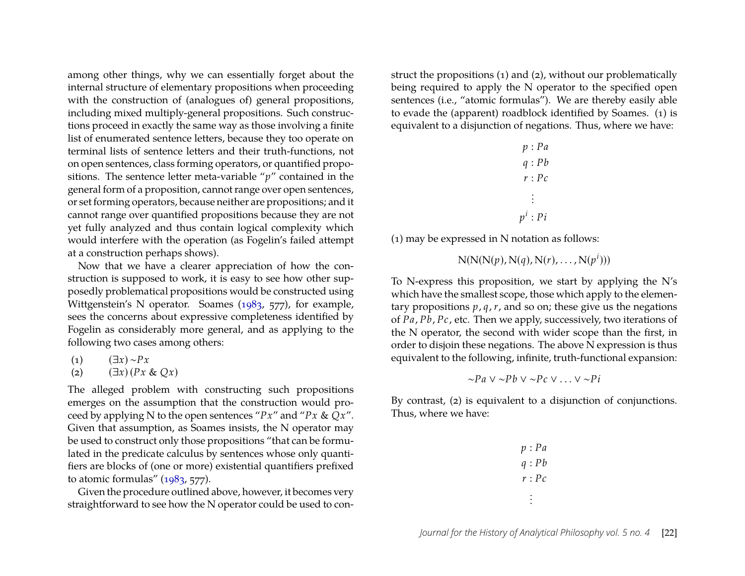among other things, why we can essentially forget about the internal structure of elementary propositions when proceeding with the construction of (analogues of) general propositions, including mixed multiply-general propositions. Such constructions proceed in exactly the same way as those involving a finite list of enumerated sentence letters, because they too operate on terminal lists of sentence letters and their truth-functions, not on open sentences, class forming operators, or quantified propositions. The sentence letter meta-variable "*p*" contained in the general form of a proposition, cannot range over open sentences, or set forming operators, because neither are propositions; and it cannot range over quantified propositions because they are not yet fully analyzed and thus contain logical complexity which would interfere with the operation (as Fogelin's failed attempt at a construction perhaps shows).

Now that we have a clearer appreciation of how the construction is supposed to work, it is easy to see how other supposedly problematical propositions would be constructed using Wittgenstein's N operator. Soames [\(1983,](#page-26-0) 577), for example, sees the concerns about expressive completeness identified by Fogelin as considerably more general, and as applying to the following two cases among others:

- (1) (∃*x*) ∼*Px*
- (2) (∃*x*) (*Px* & *Qx*)

The alleged problem with constructing such propositions emerges on the assumption that the construction would proceed by applying N to the open sentences "*Px*" and "*Px* & *Qx*". Given that assumption, as Soames insists, the N operator may be used to construct only those propositions "that can be formulated in the predicate calculus by sentences whose only quantifiers are blocks of (one or more) existential quantifiers prefixed to atomic formulas" [\(1983,](#page-26-0) 577).

Given the procedure outlined above, however, it becomes very straightforward to see how the N operator could be used to construct the propositions (1) and (2), without our problematically being required to apply the N operator to the specified open sentences (i.e., "atomic formulas"). We are thereby easily able to evade the (apparent) roadblock identified by Soames. (1) is equivalent to a disjunction of negations. Thus, where we have:

|                      | p : Pa     |
|----------------------|------------|
|                      | q: Pb      |
|                      | r : Pc     |
| $\ddot{\phantom{0}}$ |            |
|                      | $p^i$ : Pi |

(1) may be expressed in N notation as follows:

 $N(N(N(p), N(q), N(r), \ldots, N(p^{i})))$ 

To N-express this proposition, we start by applying the N's which have the smallest scope, those which apply to the elementary propositions  $p$ ,  $q$ ,  $r$ , and so on; these give us the negations of *Pa*, *Pb*, *Pc*, etc. Then we apply, successively, two iterations of the N operator, the second with wider scope than the first, in order to disjoin these negations. The above N expression is thus equivalent to the following, infinite, truth-functional expansion:

$$
\sim Pa \vee \sim Pb \vee \sim Pc \vee \ldots \vee \sim Pi
$$

By contrast, (2) is equivalent to a disjunction of conjunctions. Thus, where we have:

|  | p : Pa |
|--|--------|
|  | q: Pb  |
|  | r : Pc |
|  |        |
|  |        |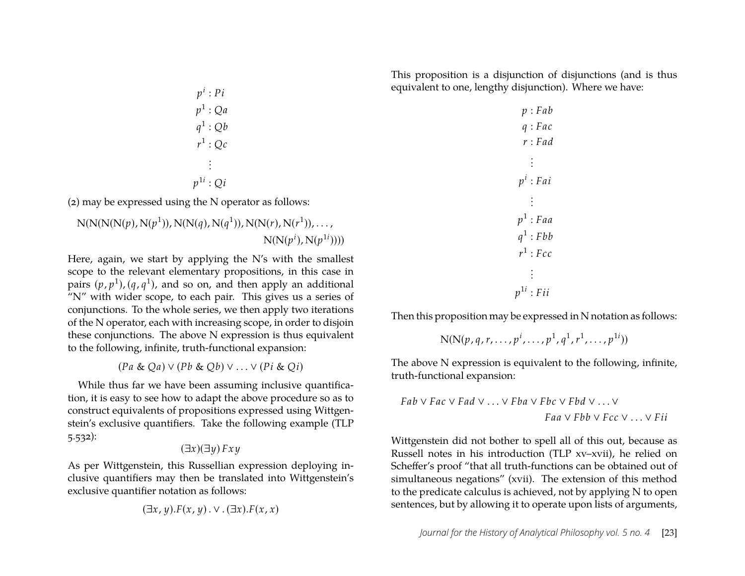This proposition is a disjunction of disjunctions (and is thus equivalent to one, lengthy disjunction). Where we have:

*p i* : *Pi p* 1 : *Qa q* 1 : *Qb r* 1 : *Qc* . . . *p* 1*i* : *Qi p* : *Fab q* : *Fac r* : *Fad* . . . *p i* : *Fai* . . .

(2) may be expressed using the N operator as follows:

N(N(N(N(*p*), N(*p* 1 )), N(N(*q*), N(*q* 1 )), N(N(*r*), N(*r* 1 )), . . . , N(N(*p i* ), N(*p* 1*i* ))))

Here, again, we start by applying the N's with the smallest scope to the relevant elementary propositions, in this case in pairs  $(p, p<sup>1</sup>), (q, q<sup>1</sup>)$ , and so on, and then apply an additional "N" with wider scope, to each pair. This gives us a series of conjunctions. To the whole series, we then apply two iterations of the N operator, each with increasing scope, in order to disjoin these conjunctions. The above N expression is thus equivalent to the following, infinite, truth-functional expansion:

(*Pa* & *Qa*) ∨ (*Pb* & *Qb*) ∨ . . . ∨ (*Pi* & *Qi*)

While thus far we have been assuming inclusive quantification, it is easy to see how to adapt the above procedure so as to construct equivalents of propositions expressed using Wittgenstein's exclusive quantifiers. Take the following example (TLP 5.532):

$$
(\exists x)(\exists y) \, Fxy
$$

As per Wittgenstein, this Russellian expression deploying inclusive quantifiers may then be translated into Wittgenstein's exclusive quantifier notation as follows:

$$
(\exists x, y). F(x, y) . \vee . (\exists x). F(x, x)
$$

Then this proposition may be expressed in N notation as follows: 1 1 1 1*i*

$$
N(N(p,q,r,\ldots,p^i,\ldots,p^1,q^1,r^1,\ldots,p^{1i}))
$$

*p* 1 : *Faa*  $q^1$ : *Fbb*  $r^1$ : *Fcc* . . .  $p^{1i}$  : *Fii* 

The above N expression is equivalent to the following, infinite, truth-functional expansion:

$$
Fab \lor Fac \lor Fad \lor \dots \lor Fba \lor Fbc \lor Fbd \lor \dots \lor
$$
  

$$
Faa \lor Fbb \lor Fcc \lor \dots \lor Fii
$$

Wittgenstein did not bother to spell all of this out, because as Russell notes in his introduction (TLP xv–xvii), he relied on Scheffer's proof "that all truth-functions can be obtained out of simultaneous negations" (xvii). The extension of this method to the predicate calculus is achieved, not by applying N to open sentences, but by allowing it to operate upon lists of arguments,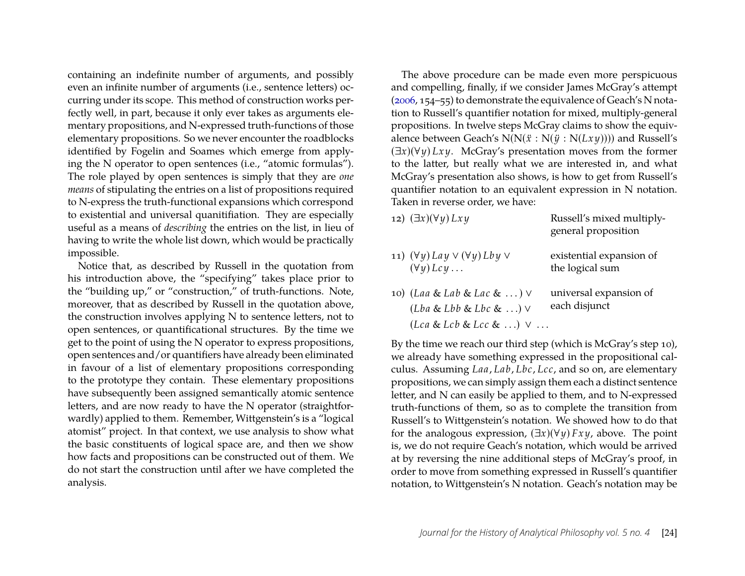containing an indefinite number of arguments, and possibly even an infinite number of arguments (i.e., sentence letters) occurring under its scope. This method of construction works perfectly well, in part, because it only ever takes as arguments elementary propositions, and N-expressed truth-functions of those elementary propositions. So we never encounter the roadblocks identified by Fogelin and Soames which emerge from applying the N operator to open sentences (i.e., "atomic formulas"). The role played by open sentences is simply that they are *one means* of stipulating the entries on a list of propositions required to N-express the truth-functional expansions which correspond to existential and universal quanitifiation. They are especially useful as a means of *describing* the entries on the list, in lieu of having to write the whole list down, which would be practically impossible.

Notice that, as described by Russell in the quotation from his introduction above, the "specifying" takes place prior to the "building up," or "construction," of truth-functions. Note, moreover, that as described by Russell in the quotation above, the construction involves applying N to sentence letters, not to open sentences, or quantificational structures. By the time we get to the point of using the N operator to express propositions, open sentences and/or quantifiers have already been eliminated in favour of a list of elementary propositions corresponding to the prototype they contain. These elementary propositions have subsequently been assigned semantically atomic sentence letters, and are now ready to have the N operator (straightforwardly) applied to them. Remember, Wittgenstein's is a "logical atomist" project. In that context, we use analysis to show what the basic constituents of logical space are, and then we show how facts and propositions can be constructed out of them. We do not start the construction until after we have completed the analysis.

The above procedure can be made even more perspicuous and compelling, finally, if we consider James McGray's attempt [\(2006,](#page-25-1) 154–55) to demonstrate the equivalence of Geach's N notation to Russell's quantifier notation for mixed, multiply-general propositions. In twelve steps McGray claims to show the equivalence between Geach's  $N(N(\ddot{x}: N(\ddot{y}: N(Lxy))))$  and Russell's (∃*x*)(∀*y*) *Lx y*. McGray's presentation moves from the former to the latter, but really what we are interested in, and what McGray's presentation also shows, is how to get from Russell's quantifier notation to an equivalent expression in N notation. Taken in reverse order, we have:

| 12) $(\exists x)(\forall y) Lxy$                                           | Russell's mixed multiply-<br>general proposition |
|----------------------------------------------------------------------------|--------------------------------------------------|
| 11) $(\forall y)$ Lay $\lor$ $(\forall y)$ Lby $\lor$<br>$(\forall y) Lcy$ | existential expansion of<br>the logical sum      |
| 10) (Laa & Lab & Lac & ) $\vee$<br>$(Lba & Lbb & Lbc & Lbc & )\vee$        | universal expansion of<br>each disjunct          |
| $(Lca & Lcb & Lcc & \ldots) \vee \ldots$                                   |                                                  |

By the time we reach our third step (which is McGray's step 10), we already have something expressed in the propositional calculus. Assuming *Laa*, *Lab*, *Lbc*, *Lcc*, and so on, are elementary propositions, we can simply assign them each a distinct sentence letter, and N can easily be applied to them, and to N-expressed truth-functions of them, so as to complete the transition from Russell's to Wittgenstein's notation. We showed how to do that for the analogous expression, (∃*x*)(∀*y*) *Fx y*, above. The point is, we do not require Geach's notation, which would be arrived at by reversing the nine additional steps of McGray's proof, in order to move from something expressed in Russell's quantifier notation, to Wittgenstein's N notation. Geach's notation may be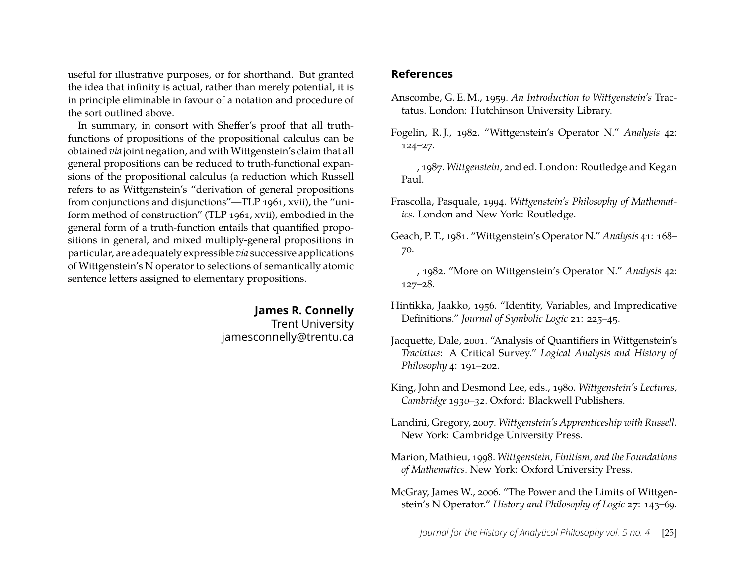useful for illustrative purposes, or for shorthand. But granted the idea that infinity is actual, rather than merely potential, it is in principle eliminable in favour of a notation and procedure of the sort outlined above.

In summary, in consort with Sheffer's proof that all truthfunctions of propositions of the propositional calculus can be obtained *via* joint negation, and with Wittgenstein's claim that all general propositions can be reduced to truth-functional expansions of the propositional calculus (a reduction which Russell refers to as Wittgenstein's "derivation of general propositions from conjunctions and disjunctions"—TLP 1961, xvii), the "uniform method of construction" (TLP 1961, xvii), embodied in the general form of a truth-function entails that quantified propositions in general, and mixed multiply-general propositions in particular, are adequately expressible *via* successive applications of Wittgenstein's N operator to selections of semantically atomic sentence letters assigned to elementary propositions.

#### **James R. Connelly** Trent University jamesconnelly@trentu.ca

#### **References**

- <span id="page-25-7"></span>Anscombe, G. E. M., 1959. *An Introduction to Wittgenstein's* Tractatus. London: Hutchinson University Library.
- <span id="page-25-3"></span>Fogelin, R. J., 1982. "Wittgenstein's Operator N." *Analysis* 42: 124–27.
- <span id="page-25-0"></span>, 1987. *Wittgenstein*, 2nd ed. London: Routledge and Kegan Paul.
- <span id="page-25-9"></span>Frascolla, Pasquale, 1994. *Wittgenstein's Philosophy of Mathematics*. London and New York: Routledge.
- <span id="page-25-2"></span>Geach, P. T., 1981. "Wittgenstein's Operator N." *Analysis* 41: 168– 70.
- <span id="page-25-4"></span>, 1982. "More on Wittgenstein's Operator N." *Analysis* 42: 127–28.
- <span id="page-25-10"></span>Hintikka, Jaakko, 1956. "Identity, Variables, and Impredicative Definitions." *Journal of Symbolic Logic* 21: 225–45.
- <span id="page-25-11"></span>Jacquette, Dale, 2001. "Analysis of Quantifiers in Wittgenstein's *Tractatus*: A Critical Survey." *Logical Analysis and History of Philosophy* 4: 191–202.
- <span id="page-25-6"></span>King, John and Desmond Lee, eds., 1980. *Wittgenstein's Lectures, Cambridge 1930–32*. Oxford: Blackwell Publishers.
- <span id="page-25-5"></span>Landini, Gregory, 2007. *Wittgenstein's Apprenticeship with Russell*. New York: Cambridge University Press.
- <span id="page-25-8"></span>Marion, Mathieu, 1998. *Wittgenstein, Finitism, and the Foundations of Mathematics*. New York: Oxford University Press.
- <span id="page-25-1"></span>McGray, James W., 2006. "The Power and the Limits of Wittgenstein's N Operator." *History and Philosophy of Logic* 27: 143–69.